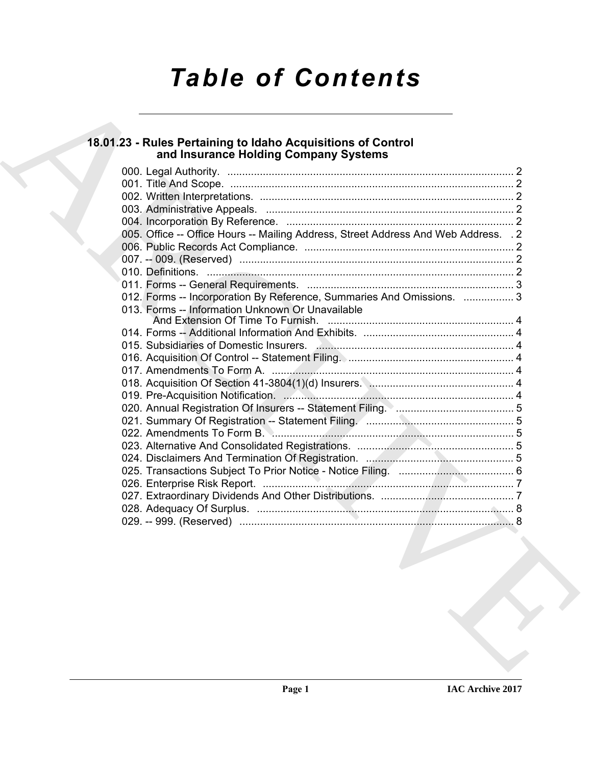# *Table of Contents*

## **18.01.23 - Rules Pertaining to Idaho Acquisitions of Control and Insurance Holding Company Systems**

| 005. Office -- Office Hours -- Mailing Address, Street Address And Web Address. . 2<br>012. Forms -- Incorporation By Reference, Summaries And Omissions.  3<br>013. Forms -- Information Unknown Or Unavailable |  |  |  |
|------------------------------------------------------------------------------------------------------------------------------------------------------------------------------------------------------------------|--|--|--|
|                                                                                                                                                                                                                  |  |  |  |
|                                                                                                                                                                                                                  |  |  |  |
|                                                                                                                                                                                                                  |  |  |  |
|                                                                                                                                                                                                                  |  |  |  |
|                                                                                                                                                                                                                  |  |  |  |
|                                                                                                                                                                                                                  |  |  |  |
|                                                                                                                                                                                                                  |  |  |  |
|                                                                                                                                                                                                                  |  |  |  |
|                                                                                                                                                                                                                  |  |  |  |
|                                                                                                                                                                                                                  |  |  |  |
|                                                                                                                                                                                                                  |  |  |  |
|                                                                                                                                                                                                                  |  |  |  |
|                                                                                                                                                                                                                  |  |  |  |
|                                                                                                                                                                                                                  |  |  |  |
|                                                                                                                                                                                                                  |  |  |  |
|                                                                                                                                                                                                                  |  |  |  |
|                                                                                                                                                                                                                  |  |  |  |
|                                                                                                                                                                                                                  |  |  |  |
|                                                                                                                                                                                                                  |  |  |  |
|                                                                                                                                                                                                                  |  |  |  |
|                                                                                                                                                                                                                  |  |  |  |
|                                                                                                                                                                                                                  |  |  |  |
|                                                                                                                                                                                                                  |  |  |  |
|                                                                                                                                                                                                                  |  |  |  |
|                                                                                                                                                                                                                  |  |  |  |
|                                                                                                                                                                                                                  |  |  |  |
|                                                                                                                                                                                                                  |  |  |  |
|                                                                                                                                                                                                                  |  |  |  |
|                                                                                                                                                                                                                  |  |  |  |
|                                                                                                                                                                                                                  |  |  |  |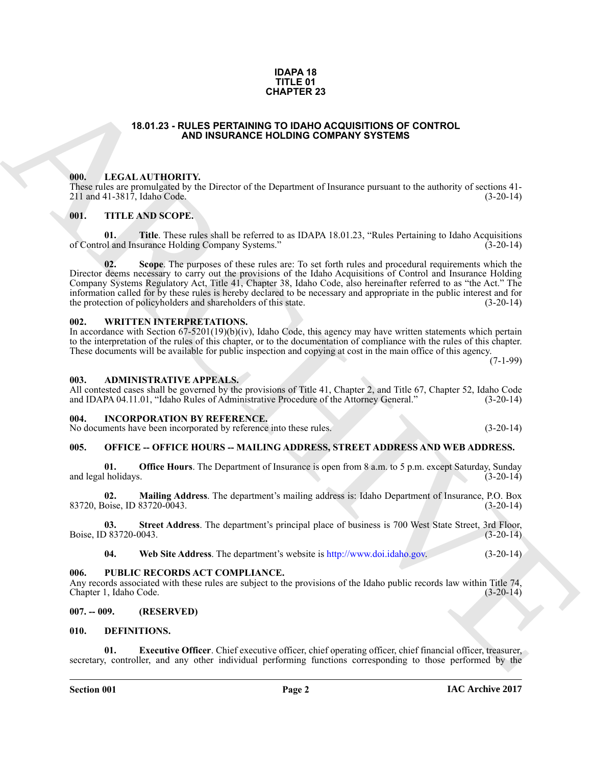### **Section 001 Page 2**

#### **IDAPA 18 TITLE 01 CHAPTER 23**

## **18.01.23 - RULES PERTAINING TO IDAHO ACQUISITIONS OF CONTROL AND INSURANCE HOLDING COMPANY SYSTEMS**

## <span id="page-1-1"></span><span id="page-1-0"></span>**000. LEGAL AUTHORITY.**

These rules are promulgated by the Director of the Department of Insurance pursuant to the authority of sections 41- 211 and 41-3817, Idaho Code.

## <span id="page-1-2"></span>**001. TITLE AND SCOPE.**

**01. Title**. These rules shall be referred to as IDAPA 18.01.23, "Rules Pertaining to Idaho Acquisitions of and Insurance Holding Company Systems." (3-20-14) of Control and Insurance Holding Company Systems."

**19.81.23 - ROLES PERTAINENTS 23**<br> **CHAPTER 23**<br> **ARCHI[V](http://www.doi.idaho.gov)ENTY,**<br> **ARCHIVENTY,**<br> **ARCHIVENTY,**<br> **ARCHIVENTY,**<br> **ARCHIVENTY,**<br> **ARCHIVENTY,**<br> **ARCHIVENTY,**<br> **ARCHIVENTY,**<br> **ARCHIVENTY,**<br> **ARCHIVENTY,**<br> **ARCHIVENTY,**<br> **ARCHIV 02. Scope**. The purposes of these rules are: To set forth rules and procedural requirements which the Director deems necessary to carry out the provisions of the Idaho Acquisitions of Control and Insurance Holding Company Systems Regulatory Act, Title 41, Chapter 38, Idaho Code, also hereinafter referred to as "the Act." The information called for by these rules is hereby declared to be necessary and appropriate in the public interest and for the protection of policyholders and shareholders of this state.

## <span id="page-1-3"></span>**002. WRITTEN INTERPRETATIONS.**

In accordance with Section 67-5201(19)(b)(iv), Idaho Code, this agency may have written statements which pertain to the interpretation of the rules of this chapter, or to the documentation of compliance with the rules of this chapter. These documents will be available for public inspection and copying at cost in the main office of this agency.

 $(7-1-99)$ 

## <span id="page-1-4"></span>**003. ADMINISTRATIVE APPEALS.**

All contested cases shall be governed by the provisions of Title 41, Chapter 2, and Title 67, Chapter 52, Idaho Code and IDAPA 04.11.01, "Idaho Rules of Administrative Procedure of the Attorney General." (3-20-14)

### <span id="page-1-12"></span><span id="page-1-5"></span>**004. INCORPORATION BY REFERENCE.**

No documents have been incorporated by reference into these rules. (3-20-14)

## <span id="page-1-6"></span>**005. OFFICE -- OFFICE HOURS -- MAILING ADDRESS, STREET ADDRESS AND WEB ADDRESS.**

**01. Office Hours**. The Department of Insurance is open from 8 a.m. to 5 p.m. except Saturday, Sunday (1-20-14) and legal holidays.

**02. Mailing Address**. The department's mailing address is: Idaho Department of Insurance, P.O. Box 83720, Boise, ID 83720-0043.

**03. Street Address**. The department's principal place of business is 700 West State Street, 3rd Floor, Boise, ID 83720-0043.

**04. Web Site Address**. The department's website is http://www.doi.idaho.gov. (3-20-14)

### <span id="page-1-7"></span>**006. PUBLIC RECORDS ACT COMPLIANCE.**

Any records associated with these rules are subject to the provisions of the Idaho public records law within Title 74, Chapter 1, Idaho Code. (3-20-14) Chapter 1, Idaho Code.

### <span id="page-1-8"></span>**007. -- 009. (RESERVED)**

## <span id="page-1-10"></span><span id="page-1-9"></span>**010. DEFINITIONS.**

<span id="page-1-11"></span>**Executive Officer**. Chief executive officer, chief operating officer, chief financial officer, treasurer, secretary, controller, and any other individual performing functions corresponding to those performed by the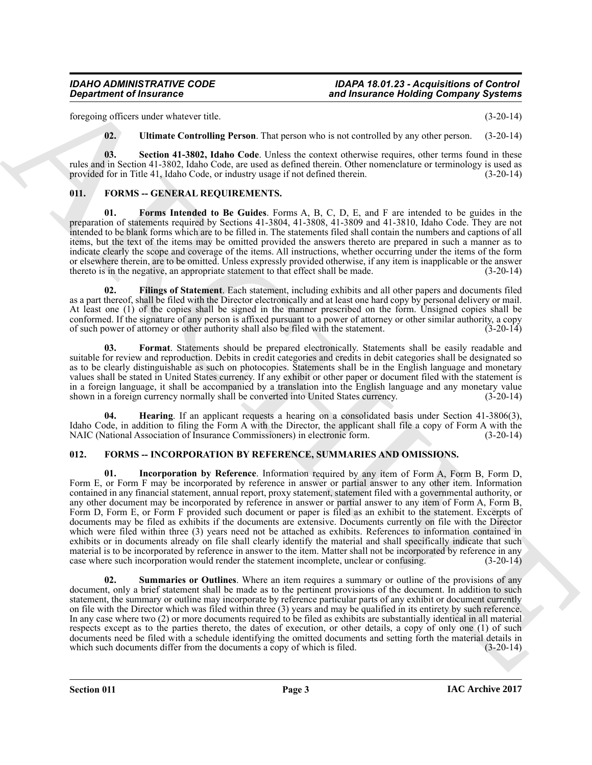foregoing officers under whatever title. (3-20-14)

<span id="page-2-3"></span><span id="page-2-2"></span>**02. Ultimate Controlling Person**. That person who is not controlled by any other person. (3-20-14)

**03. Section 41-3802, Idaho Code**. Unless the context otherwise requires, other terms found in these rules and in Section 41-3802, Idaho Code, are used as defined therein. Other nomenclature or terminology is used as provided for in Title 41, Idaho Code, or industry usage if not defined therein. (3-20-14) provided for in Title 41, Idaho Code, or industry usage if not defined therein.

## <span id="page-2-4"></span><span id="page-2-0"></span>**011. FORMS -- GENERAL REQUIREMENTS.**

<span id="page-2-7"></span>**01. Forms Intended to Be Guides**. Forms A, B, C, D, E, and F are intended to be guides in the preparation of statements required by Sections 41-3804, 41-3808, 41-3809 and 41-3810, Idaho Code. They are not intended to be blank forms which are to be filled in. The statements filed shall contain the numbers and captions of all items, but the text of the items may be omitted provided the answers thereto are prepared in such a manner as to indicate clearly the scope and coverage of the items. All instructions, whether occurring under the items of the form or elsewhere therein, are to be omitted. Unless expressly provided otherwise, if any item is inapplicable or the answer thereto is in the negative, an appropriate statement to that effect shall be made. (3-20-14) thereto is in the negative, an appropriate statement to that effect shall be made.

<span id="page-2-5"></span>**02. Filings of Statement**. Each statement, including exhibits and all other papers and documents filed as a part thereof, shall be filed with the Director electronically and at least one hard copy by personal delivery or mail. At least one (1) of the copies shall be signed in the manner prescribed on the form. Unsigned copies shall be conformed. If the signature of any person is affixed pursuant to a power of attorney or other similar authority, a copy of such power of attorney or other authority shall also be filed with the statement. (3-20-14) of such power of attorney or other authority shall also be filed with the statement.

<span id="page-2-6"></span>**03. Format**. Statements should be prepared electronically. Statements shall be easily readable and suitable for review and reproduction. Debits in credit categories and credits in debit categories shall be designated so as to be clearly distinguishable as such on photocopies. Statements shall be in the English language and monetary values shall be stated in United States currency. If any exhibit or other paper or document filed with the statement is in a foreign language, it shall be accompanied by a translation into the English language and any monetary value<br>shown in a foreign currency normally shall be converted into United States currency. (3-20-14) shown in a foreign currency normally shall be converted into United States currency.

<span id="page-2-8"></span>**04. Hearing**. If an applicant requests a hearing on a consolidated basis under Section 41-3806(3), Idaho Code, in addition to filing the Form A with the Director, the applicant shall file a copy of Form A with the NAIC (National Association of Insurance Commissioners) in electronic form. (3-20-14)

## <span id="page-2-10"></span><span id="page-2-9"></span><span id="page-2-1"></span>**012. FORMS -- INCORPORATION BY REFERENCE, SUMMARIES AND OMISSIONS.**

**Experiment of Insurance<br>
Experiment of Insurance<br>
Experiment of Insurance<br>
Experiment of Insurance<br>
Experiment Of Insurance<br>
Constant of Insurance Model Experiment of Insurance Model Top and the Second Constant of Insura 01. Incorporation by Reference**. Information required by any item of Form A, Form B, Form D, Form E, or Form F may be incorporated by reference in answer or partial answer to any other item. Information contained in any financial statement, annual report, proxy statement, statement filed with a governmental authority, or any other document may be incorporated by reference in answer or partial answer to any item of Form A, Form B, Form D, Form E, or Form F provided such document or paper is filed as an exhibit to the statement. Excerpts of documents may be filed as exhibits if the documents are extensive. Documents currently on file with the Director which were filed within three (3) years need not be attached as exhibits. References to information contained in exhibits or in documents already on file shall clearly identify the material and shall specifically indicate that such material is to be incorporated by reference in answer to the item. Matter shall not be incorporated by reference in any case where such incorporation would render the statement incomplete, unclear or confusing. (3-20-14) case where such incorporation would render the statement incomplete, unclear or confusing.

<span id="page-2-11"></span>**02. Summaries or Outlines**. Where an item requires a summary or outline of the provisions of any document, only a brief statement shall be made as to the pertinent provisions of the document. In addition to such statement, the summary or outline may incorporate by reference particular parts of any exhibit or document currently on file with the Director which was filed within three (3) years and may be qualified in its entirety by such reference. In any case where two (2) or more documents required to be filed as exhibits are substantially identical in all material respects except as to the parties thereto, the dates of execution, or other details, a copy of only one (1) of such documents need be filed with a schedule identifying the omitted documents and setting forth the material details in which such documents differ from the documents a copy of which is filed. (3-20-14) which such documents differ from the documents a copy of which is filed.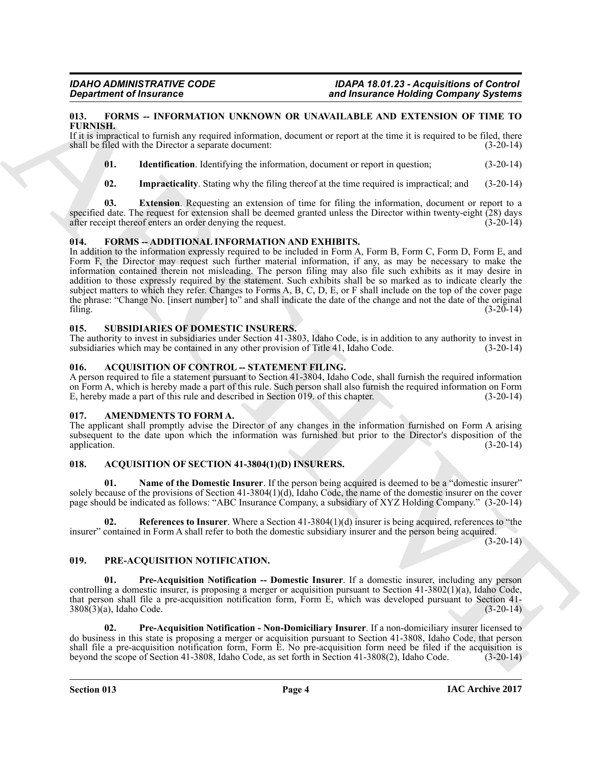### <span id="page-3-13"></span><span id="page-3-0"></span>**013. FORMS -- INFORMATION UNKNOWN OR UNAVAILABLE AND EXTENSION OF TIME TO FURNISH.**

If it is impractical to furnish any required information, document or report at the time it is required to be filed, there shall be filed with the Director a separate document: (3-20-14)

- <span id="page-3-16"></span><span id="page-3-15"></span>**01.** Identification. Identifying the information, document or report in question;  $(3-20-14)$
- <span id="page-3-14"></span>**02. Impracticality**. Stating why the filing thereof at the time required is impractical; and (3-20-14)

**03. Extension**. Requesting an extension of time for filing the information, document or report to a specified date. The request for extension shall be deemed granted unless the Director within twenty-eight (28) days after receipt thereof enters an order denying the request. (3-20-14) after receipt thereof enters an order denying the request.

## <span id="page-3-12"></span><span id="page-3-1"></span>**014. FORMS -- ADDITIONAL INFORMATION AND EXHIBITS.**

**EVALUATION CONTINUOUS CONTINUOUS CONTINUOUS CONTINUOUS CONTINUOUS CONTINUOUS CONTINUOUS CONTINUOUS CONTINUOUS CONTINUOUS CONTINUOUS CONTINUOUS CONTINUOUS CONTINUOUS CONTINUOUS CONTINUOUS CONTINUOUS CONTINUOUS CONTINUOUS** In addition to the information expressly required to be included in Form A, Form B, Form C, Form D, Form E, and Form F, the Director may request such further material information, if any, as may be necessary to make the information contained therein not misleading. The person filing may also file such exhibits as it may desire in addition to those expressly required by the statement. Such exhibits shall be so marked as to indicate clearly the subject matters to which they refer. Changes to Forms A, B, C, D, E, or F shall include on the top of the cover page the phrase: "Change No. [insert number] to" and shall indicate the date of the change and not the date of the original filing. (3-20-14)

## <span id="page-3-20"></span><span id="page-3-2"></span>**015. SUBSIDIARIES OF DOMESTIC INSURERS.**

The authority to invest in subsidiaries under Section 41-3803, Idaho Code, is in addition to any authority to invest in subsidiaries which may be contained in any other provision of Title 41, Idaho Code. (3-20-14)

### <span id="page-3-7"></span><span id="page-3-3"></span>016. ACQUISITION OF CONTROL -- STATEMENT FILING.

A person required to file a statement pursuant to Section 41-3804, Idaho Code, shall furnish the required information on Form A, which is hereby made a part of this rule. Such person shall also furnish the required information on Form E, hereby made a part of this rule and described in Section 019, of this chapter. (3-20-14) E, hereby made a part of this rule and described in Section 019. of this chapter.

### <span id="page-3-11"></span><span id="page-3-4"></span>**017. AMENDMENTS TO FORM A.**

The applicant shall promptly advise the Director of any changes in the information furnished on Form A arising subsequent to the date upon which the information was furnished but prior to the Director's disposition of the application. (3-20-14) application. (3-20-14)

## <span id="page-3-8"></span><span id="page-3-5"></span>**018. ACQUISITION OF SECTION 41-3804(1)(D) INSURERS.**

<span id="page-3-9"></span>Name of the Domestic Insurer. If the person being acquired is deemed to be a "domestic insurer" solely because of the provisions of Section 41-3804(1)(d), Idaho Code, the name of the domestic insurer on the cover page should be indicated as follows: "ABC Insurance Company, a subsidiary of XYZ Holding Company." (3-20-14)

<span id="page-3-10"></span>**02. References to Insurer**. Where a Section 41-3804(1)(d) insurer is being acquired, references to "the insurer" contained in Form A shall refer to both the domestic subsidiary insurer and the person being acquired.

 $(3-20-14)$ 

## <span id="page-3-17"></span><span id="page-3-6"></span>**019. PRE-ACQUISITION NOTIFICATION.**

<span id="page-3-18"></span>**01. Pre-Acquisition Notification -- Domestic Insurer**. If a domestic insurer, including any person controlling a domestic insurer, is proposing a merger or acquisition pursuant to Section 41-3802(1)(a), Idaho Code, that person shall file a pre-acquisition notification form, Form E, which was developed pursuant to Section 41- 3808(3)(a), Idaho Code. (3-20-14)

<span id="page-3-19"></span>**02. Pre-Acquisition Notification - Non-Domiciliary Insurer**. If a non-domiciliary insurer licensed to do business in this state is proposing a merger or acquisition pursuant to Section 41-3808, Idaho Code, that person shall file a pre-acquisition notification form, Form E. No pre-acquisition form need be filed if the acquisition is<br>beyond the scope of Section 41-3808, Idaho Code, as set forth in Section 41-3808(2), Idaho Code. (3-20-14 beyond the scope of Section 41-3808, Idaho Code, as set forth in Section 41-3808(2), Idaho Code.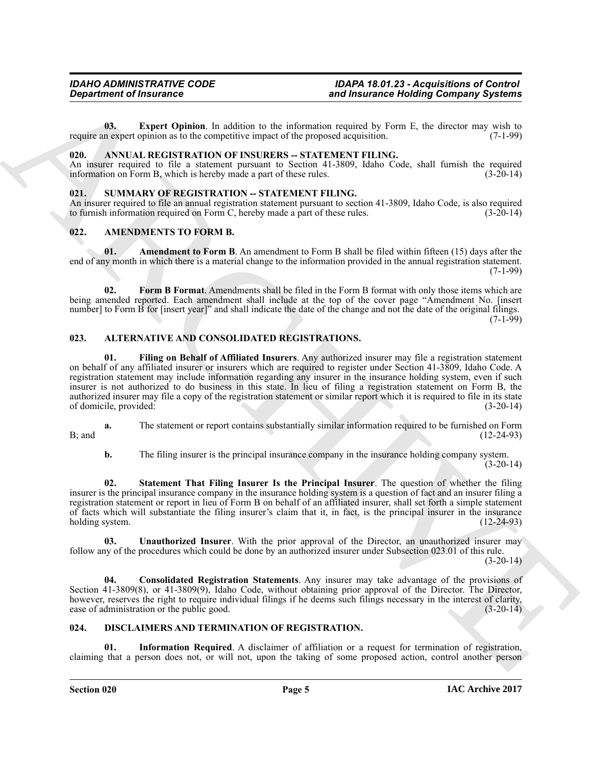<span id="page-4-16"></span>**03. Expert Opinion**. In addition to the information required by Form E, the director may wish to n expert opinion as to the competitive impact of the proposed acquisition. (7-1-99) require an expert opinion as to the competitive impact of the proposed acquisition.

## <span id="page-4-13"></span><span id="page-4-0"></span>020. ANNUAL REGISTRATION OF INSURERS -- STATEMENT FILING.

An insurer required to file a statement pursuant to Section 41-3809, Idaho Code, shall furnish the required information on Form B, which is hereby made a part of these rules. (3-20-14) information on Form B, which is hereby made a part of these rules.

### <span id="page-4-17"></span><span id="page-4-1"></span>**021. SUMMARY OF REGISTRATION -- STATEMENT FILING.**

An insurer required to file an annual registration statement pursuant to section 41-3809, Idaho Code, is also required to furnish information required on Form C, hereby made a part of these rules. (3-20-14) to furnish information required on Form  $C$ , hereby made a part of these rules.

## <span id="page-4-10"></span><span id="page-4-2"></span>**022. AMENDMENTS TO FORM B.**

<span id="page-4-11"></span>**01.** Amendment to Form B. An amendment to Form B shall be filed within fifteen (15) days after the end of any month in which there is a material change to the information provided in the annual registration statement.  $(7-1-99)$ 

<span id="page-4-12"></span>**02. Form B Format**. Amendments shall be filed in the Form B format with only those items which are being amended reported. Each amendment shall include at the top of the cover page "Amendment No. [insert number] to Form B for [insert year]" and shall indicate the date of the change and not the date of the original filings.  $(7-1-99)$ 

## <span id="page-4-7"></span><span id="page-4-5"></span><span id="page-4-3"></span>**023. ALTERNATIVE AND CONSOLIDATED REGISTRATIONS.**

**Expansion of Francesco Commute Commute Commute Commute Commute Commute Commute Commute Commute Commute Commute Commute Commute Commute Commute Commute Commute Commute Commute Commute Commute Commute Commute Commute Commu 01. Filing on Behalf of Affiliated Insurers**. Any authorized insurer may file a registration statement on behalf of any affiliated insurer or insurers which are required to register under Section 41-3809, Idaho Code. A registration statement may include information regarding any insurer in the insurance holding system, even if such insurer is not authorized to do business in this state. In lieu of filing a registration statement on Form B, the authorized insurer may file a copy of the registration statement or similar report which it is required to file in its state<br>(3-20-14) of domicile, provided:

**a.** The statement or report contains substantially similar information required to be furnished on Form  $B;$  and  $(12-24-93)$ 

<span id="page-4-8"></span>**b.** The filing insurer is the principal insurance company in the insurance holding company system.  $(3-20-14)$ 

**02. Statement That Filing Insurer Is the Principal Insurer**. The question of whether the filing insurer is the principal insurance company in the insurance holding system is a question of fact and an insurer filing a registration statement or report in lieu of Form B on behalf of an affiliated insurer, shall set forth a simple statement of facts which will substantiate the filing insurer's claim that it, in fact, is the principal insurer in the insurance holding system. (12-24-93)

<span id="page-4-9"></span>**03. Unauthorized Insurer**. With the prior approval of the Director, an unauthorized insurer may follow any of the procedures which could be done by an authorized insurer under Subsection 023.01 of this rule.  $(3-20-14)$ 

<span id="page-4-6"></span>**04. Consolidated Registration Statements**. Any insurer may take advantage of the provisions of Section 41-3809(8), or 41-3809(9), Idaho Code, without obtaining prior approval of the Director. The Director, however, reserves the right to require individual filings if he deems such filings necessary in the interest of clarity, ease of administration or the public good. (3-20-14)

## <span id="page-4-14"></span><span id="page-4-4"></span>**024. DISCLAIMERS AND TERMINATION OF REGISTRATION.**

<span id="page-4-15"></span>**01. Information Required**. A disclaimer of affiliation or a request for termination of registration, claiming that a person does not, or will not, upon the taking of some proposed action, control another person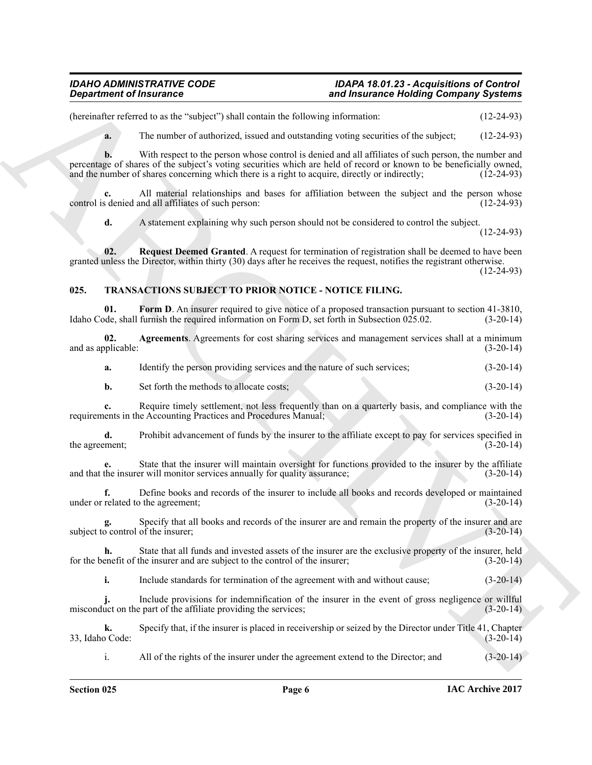(hereinafter referred to as the "subject") shall contain the following information: (12-24-93)

**a.** The number of authorized, issued and outstanding voting securities of the subject; (12-24-93)

**Experiment of Francesco Constraints Constraints and historical state of the state of the state of the state of the state of the state of the state of the state of the state of the state of the state of the state of the s b.** With respect to the person whose control is denied and all affiliates of such person, the number and percentage of shares of the subject's voting securities which are held of record or known to be beneficially owned, and the number of shares concerning which there is a right to acquire, directly or indirectly; (12-24-93) and the number of shares concerning which there is a right to acquire, directly or indirectly;

**c.** All material relationships and bases for affiliation between the subject and the person whose control is denied and all affiliates of such person: (12-24-93)

<span id="page-5-1"></span>**d.** A statement explaining why such person should not be considered to control the subject.

(12-24-93)

**02.** Request Deemed Granted. A request for termination of registration shall be deemed to have been granted unless the Director, within thirty (30) days after he receives the request, notifies the registrant otherwise. (12-24-93)

## <span id="page-5-2"></span><span id="page-5-0"></span>**025. TRANSACTIONS SUBJECT TO PRIOR NOTICE - NOTICE FILING.**

<span id="page-5-4"></span>**01.** Form D. An insurer required to give notice of a proposed transaction pursuant to section 41-3810, de, shall furnish the required information on Form D, set forth in Subsection 025.02. (3-20-14) Idaho Code, shall furnish the required information on Form  $D$ , set forth in Subsection 025.02.

**02. Agreements**. Agreements for cost sharing services and management services shall at a minimum and as applicable: (3-20-14) (3-20-14)

<span id="page-5-3"></span>**a.** Identify the person providing services and the nature of such services;  $(3-20-14)$ 

**b.** Set forth the methods to allocate costs; (3-20-14)

**c.** Require timely settlement, not less frequently than on a quarterly basis, and compliance with the lents in the Accounting Practices and Procedures Manual; (3-20-14) requirements in the Accounting Practices and Procedures Manual;

**d.** Prohibit advancement of funds by the insurer to the affiliate except to pay for services specified in ment;<br>(3-20-14) the agreement;

**e.** State that the insurer will maintain oversight for functions provided to the insurer by the affiliate the insurer will monitor services annually for quality assurance; (3-20-14) and that the insurer will monitor services annually for quality assurance;

**f.** Define books and records of the insurer to include all books and records developed or maintained related to the agreement: (3-20-14) under or related to the agreement;

Specify that all books and records of the insurer are and remain the property of the insurer and are of the insurer;<br>(3-20-14) subject to control of the insurer;

**h.** State that all funds and invested assets of the insurer are the exclusive property of the insurer, held energit of the insurer and are subject to the control of the insurer; (3-20-14) for the benefit of the insurer and are subject to the control of the insurer;

**i.** Include standards for termination of the agreement with and without cause;  $(3-20-14)$ 

**j.** Include provisions for indemnification of the insurer in the event of gross negligence or willful misconduct on the part of the affiliate providing the services; (3-20-14)

**k.** Specify that, if the insurer is placed in receivership or seized by the Director under Title 41, Chapter (3-20-14) 33, Idaho Code:

i. All of the rights of the insurer under the agreement extend to the Director; and (3-20-14)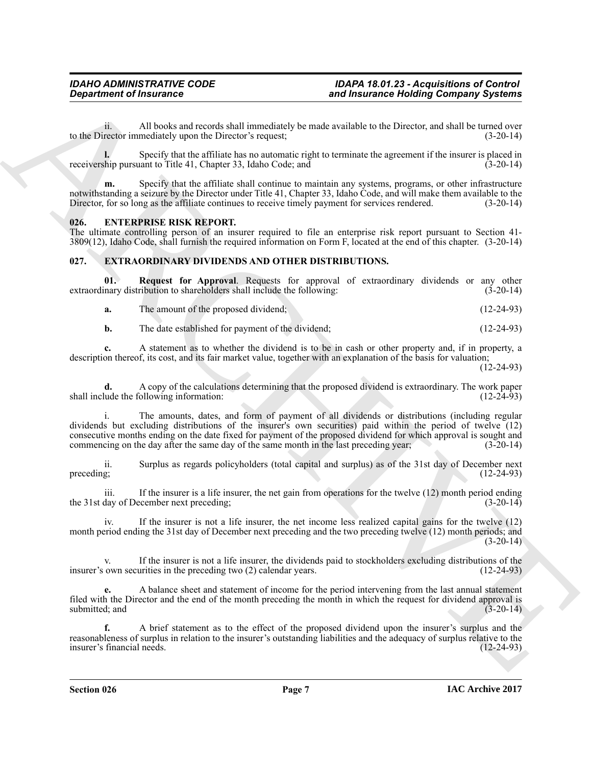ii. All books and records shall immediately be made available to the Director, and shall be turned over to the Director immediately upon the Director's request; (3-20-14)

**l.** Specify that the affiliate has no automatic right to terminate the agreement if the insurer is placed in thip pursuant to Title 41, Chapter 33, Idaho Code; and (3-20-14) receivership pursuant to Title 41, Chapter 33, Idaho Code; and

**m.** Specify that the affiliate shall continue to maintain any systems, programs, or other infrastructure notwithstanding a seizure by the Director under Title 41, Chapter 33, Idaho Code, and will make them available to the Director, for so long as the affiliate continues to receive timely payment for services rendered. (3-20-14)

## <span id="page-6-2"></span><span id="page-6-0"></span>**026. ENTERPRISE RISK REPORT.**

The ultimate controlling person of an insurer required to file an enterprise risk report pursuant to Section 41- 3809(12), Idaho Code, shall furnish the required information on Form F, located at the end of this chapter. (3-20-14)

## <span id="page-6-3"></span><span id="page-6-1"></span>**027. EXTRAORDINARY DIVIDENDS AND OTHER DISTRIBUTIONS.**

**01. Request for Approval**. Requests for approval of extraordinary dividends or any other extraordinary distribution to shareholders shall include the following: (3-20-14)

<span id="page-6-4"></span>

| а. | The amount of the proposed dividend; | $(12-24-93)$ |
|----|--------------------------------------|--------------|
|----|--------------------------------------|--------------|

**b.** The date established for payment of the dividend; (12-24-93)

**c.** A statement as to whether the dividend is to be in cash or other property and, if in property, a description thereof, its cost, and its fair market value, together with an explanation of the basis for valuation;

(12-24-93)

**d.** A copy of the calculations determining that the proposed dividend is extraordinary. The work paper ude the following information: (12-24-93) shall include the following information:

**Expansion of Franconics**<br> **ARCHIVES CONSULTER CONSULTER CONSULTER CONSULTER CONSULTER CONSULTER CONSULTER CONSULTER CONSULTER CONSULTER CONSULTER CONSULTER CONSULTER CONSULTER CONSULTER CONSULTER CONSULTER CONSULTER CONS** i. The amounts, dates, and form of payment of all dividends or distributions (including regular dividends but excluding distributions of the insurer's own securities) paid within the period of twelve (12) consecutive months ending on the date fixed for payment of the proposed dividend for which approval is sought and<br>commencing on the day after the same day of the same month in the last preceding year: (3-20-14) commencing on the day after the same day of the same month in the last preceding year;

ii. Surplus as regards policyholders (total capital and surplus) as of the 31st day of December next  $\beta$  (12-24-93)  $(12-24-93)$ 

iii. If the insurer is a life insurer, the net gain from operations for the twelve  $(12)$  month period ending day of December next preceding: the 31st day of December next preceding;

iv. If the insurer is not a life insurer, the net income less realized capital gains for the twelve (12) month period ending the 31st day of December next preceding and the two preceding twelve (12) month periods; and  $(3-20-14)$ 

v. If the insurer is not a life insurer, the dividends paid to stockholders excluding distributions of the insurer's own securities in the preceding two (2) calendar years. (12-24-93)

**e.** A balance sheet and statement of income for the period intervening from the last annual statement filed with the Director and the end of the month preceding the month in which the request for dividend approval is submitted; and  $(3-20-14)$ 

**f.** A brief statement as to the effect of the proposed dividend upon the insurer's surplus and the reasonableness of surplus in relation to the insurer's outstanding liabilities and the adequacy of surplus relative to the insurer's financial needs. (12-24-93) insurer's financial needs.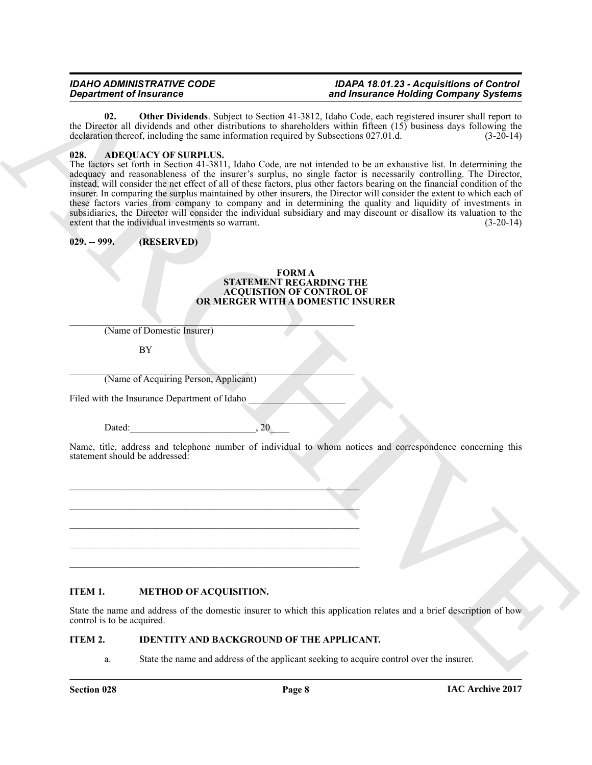<span id="page-7-3"></span>**02. Other Dividends**. Subject to Section 41-3812, Idaho Code, each registered insurer shall report to the Director all dividends and other distributions to shareholders within fifteen (15) business days following the declaration thereof, including the same information required by Subsections 027.01.d.  $(3-20-14)$ declaration thereof, including the same information required by Subsections 027.01.d.

## <span id="page-7-2"></span><span id="page-7-0"></span>**028. ADEQUACY OF SURPLUS.**

**Expanding of Francois Constraints Constraint in Section 10.3012 has been absorped to belief the same of the same of the same of the same of the same of the same of the same of the same of the same of the same of the same** The factors set forth in Section 41-3811, Idaho Code, are not intended to be an exhaustive list. In determining the adequacy and reasonableness of the insurer's surplus, no single factor is necessarily controlling. The Director, instead, will consider the net effect of all of these factors, plus other factors bearing on the financial condition of the insurer. In comparing the surplus maintained by other insurers, the Director will consider the extent to which each of these factors varies from company to company and in determining the quality and liquidity of investments in subsidiaries, the Director will consider the individual subsidiary and may discount or disallow its valuation to the extent that the individual investments so warrant. (3-20-14) extent that the individual investments so warrant.

## <span id="page-7-1"></span>**029. -- 999. (RESERVED)**

#### <span id="page-7-4"></span>**FORM A STATEMENT REGARDING THE ACQUISTION OF CONTROL OF OR MERGER WITH A DOMESTIC INSURER**

 $\mathcal{L}_\text{max}$  and  $\mathcal{L}_\text{max}$  and  $\mathcal{L}_\text{max}$  and  $\mathcal{L}_\text{max}$  and  $\mathcal{L}_\text{max}$ (Name of Domestic Insurer)

BY

 $\mathcal{L}_\text{max}$  and  $\mathcal{L}_\text{max}$  and  $\mathcal{L}_\text{max}$  and  $\mathcal{L}_\text{max}$  and  $\mathcal{L}_\text{max}$ (Name of Acquiring Person, Applicant)

Filed with the Insurance Department of Idaho

Dated:  $20$ 

Name, title, address and telephone number of individual to whom notices and correspondence concerning this statement should be addressed:

## <span id="page-7-6"></span>**ITEM 1. METHOD OF ACQUISITION.**

State the name and address of the domestic insurer to which this application relates and a brief description of how control is to be acquired.

## **ITEM 2. IDENTITY AND BACKGROUND OF THE APPLICANT.**

\_\_\_\_\_\_\_\_\_\_\_\_\_\_\_\_\_\_\_\_\_\_\_\_\_\_\_\_\_\_\_\_\_\_\_\_\_\_\_\_\_\_\_\_\_\_\_\_\_\_\_\_\_\_\_\_\_\_\_\_

\_\_\_\_\_\_\_\_\_\_\_\_\_\_\_\_\_\_\_\_\_\_\_\_\_\_\_\_\_\_\_\_\_\_\_\_\_\_\_\_\_\_\_\_\_\_\_\_\_\_\_\_\_\_\_\_\_\_\_\_ \_\_\_\_\_\_\_\_\_\_\_\_\_\_\_\_\_\_\_\_\_\_\_\_\_\_\_\_\_\_\_\_\_\_\_\_\_\_\_\_\_\_\_\_\_\_\_\_\_\_\_\_\_\_\_\_\_\_\_\_

\_\_\_\_\_\_\_\_\_\_\_\_\_\_\_\_\_\_\_\_\_\_\_\_\_\_\_\_\_\_\_\_\_\_\_\_\_\_\_\_\_\_\_\_\_\_\_\_\_\_\_\_\_\_\_\_\_\_\_\_

 $\_$  ,  $\_$  ,  $\_$  ,  $\_$  ,  $\_$  ,  $\_$  ,  $\_$  ,  $\_$  ,  $\_$  ,  $\_$  ,  $\_$  ,  $\_$  ,  $\_$  ,  $\_$  ,  $\_$  ,  $\_$  ,  $\_$  ,  $\_$ 

<span id="page-7-5"></span>a. State the name and address of the applicant seeking to acquire control over the insurer.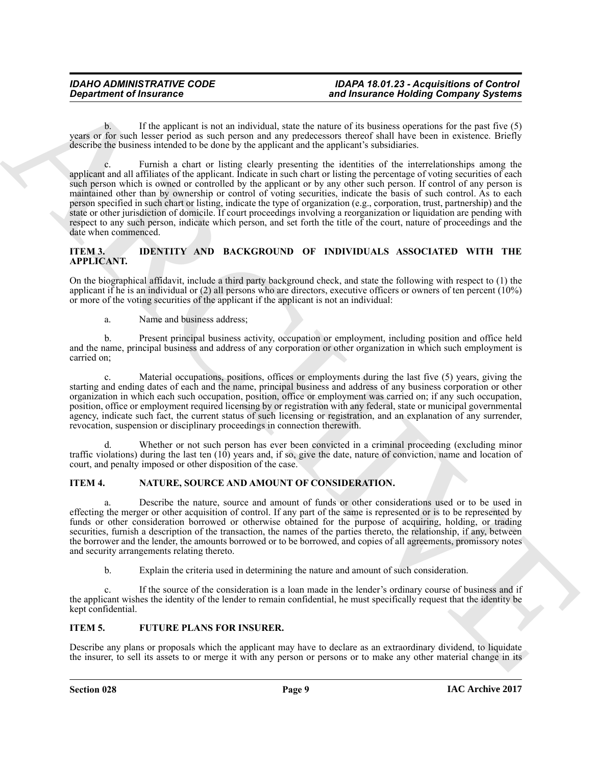b. If the applicant is not an individual, state the nature of its business operations for the past five (5) years or for such lesser period as such person and any predecessors thereof shall have been in existence. Briefly describe the business intended to be done by the applicant and the applicant's subsidiaries.

**Exparament of fractronic energy and the state of the state of the loading Company Systems<br>
years, or the state included and the state of the state of the state of the state of the state of the state of the state of the s** c. Furnish a chart or listing clearly presenting the identities of the interrelationships among the applicant and all affiliates of the applicant. Indicate in such chart or listing the percentage of voting securities of each such person which is owned or controlled by the applicant or by any other such person. If control of any person is maintained other than by ownership or control of voting securities, indicate the basis of such control. As to each person specified in such chart or listing, indicate the type of organization (e.g., corporation, trust, partnership) and the state or other jurisdiction of domicile. If court proceedings involving a reorganization or liquidation are pending with respect to any such person, indicate which person, and set forth the title of the court, nature of proceedings and the date when commenced.

## <span id="page-8-1"></span>**ITEM 3. IDENTITY AND BACKGROUND OF INDIVIDUALS ASSOCIATED WITH THE APPLICANT.**

On the biographical affidavit, include a third party background check, and state the following with respect to (1) the applicant if he is an individual or (2) all persons who are directors, executive officers or owners of ten percent (10%) or more of the voting securities of the applicant if the applicant is not an individual:

a. Name and business address;

b. Present principal business activity, occupation or employment, including position and office held and the name, principal business and address of any corporation or other organization in which such employment is carried on;

c. Material occupations, positions, offices or employments during the last five (5) years, giving the starting and ending dates of each and the name, principal business and address of any business corporation or other organization in which each such occupation, position, office or employment was carried on; if any such occupation, position, office or employment required licensing by or registration with any federal, state or municipal governmental agency, indicate such fact, the current status of such licensing or registration, and an explanation of any surrender, revocation, suspension or disciplinary proceedings in connection therewith.

d. Whether or not such person has ever been convicted in a criminal proceeding (excluding minor traffic violations) during the last ten  $(10)$  years and, if so, give the date, nature of conviction, name and location of court, and penalty imposed or other disposition of the case.

## <span id="page-8-2"></span>**ITEM 4. NATURE, SOURCE AND AMOUNT OF CONSIDERATION.**

a. Describe the nature, source and amount of funds or other considerations used or to be used in effecting the merger or other acquisition of control. If any part of the same is represented or is to be represented by funds or other consideration borrowed or otherwise obtained for the purpose of acquiring, holding, or trading securities, furnish a description of the transaction, the names of the parties thereto, the relationship, if any, between the borrower and the lender, the amounts borrowed or to be borrowed, and copies of all agreements, promissory notes and security arrangements relating thereto.

<span id="page-8-0"></span>b. Explain the criteria used in determining the nature and amount of such consideration.

If the source of the consideration is a loan made in the lender's ordinary course of business and if the applicant wishes the identity of the lender to remain confidential, he must specifically request that the identity be kept confidential.

## **ITEM 5. FUTURE PLANS FOR INSURER.**

Describe any plans or proposals which the applicant may have to declare as an extraordinary dividend, to liquidate the insurer, to sell its assets to or merge it with any person or persons or to make any other material change in its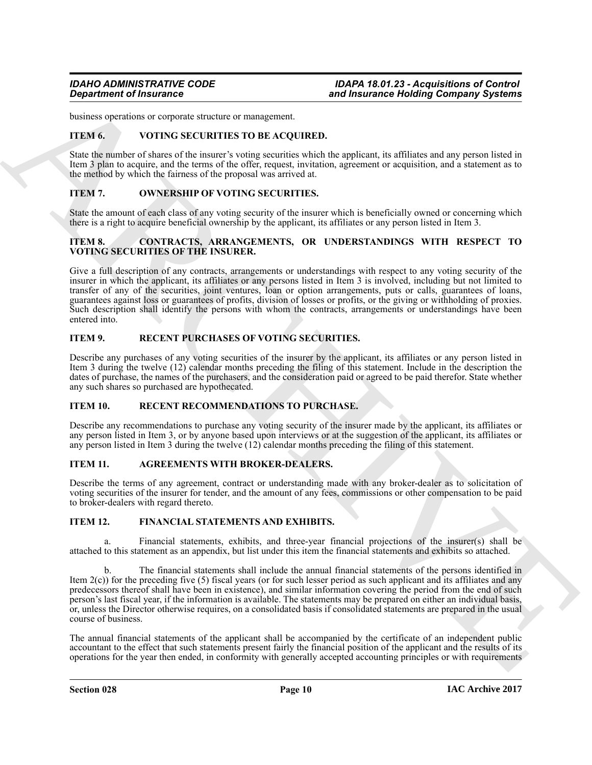business operations or corporate structure or management.

## <span id="page-9-6"></span>**ITEM 6. VOTING SECURITIES TO BE ACQUIRED.**

State the number of shares of the insurer's voting securities which the applicant, its affiliates and any person listed in Item 3 plan to acquire, and the terms of the offer, request, invitation, agreement or acquisition, and a statement as to the method by which the fairness of the proposal was arrived at.

## <span id="page-9-3"></span>**ITEM 7. OWNERSHIP OF VOTING SECURITIES.**

State the amount of each class of any voting security of the insurer which is beneficially owned or concerning which there is a right to acquire beneficial ownership by the applicant, its affiliates or any person listed in Item 3.

## <span id="page-9-1"></span>**ITEM 8. CONTRACTS, ARRANGEMENTS, OR UNDERSTANDINGS WITH RESPECT TO VOTING SECURITIES OF THE INSURER.**

**Expansion of Insurance <br>
Similar temperature and the measurements and the measurement and the measurement of the measurement of the measurement of the measurement of the measurement of the measurement of the measurement** Give a full description of any contracts, arrangements or understandings with respect to any voting security of the insurer in which the applicant, its affiliates or any persons listed in Item 3 is involved, including but not limited to transfer of any of the securities, joint ventures, loan or option arrangements, puts or calls, guarantees of loans, guarantees against loss or guarantees of profits, division of losses or profits, or the giving or withholding of proxies. Such description shall identify the persons with whom the contracts, arrangements or understandings have been entered into.

## <span id="page-9-4"></span>**ITEM 9. RECENT PURCHASES OF VOTING SECURITIES.**

Describe any purchases of any voting securities of the insurer by the applicant, its affiliates or any person listed in Item 3 during the twelve (12) calendar months preceding the filing of this statement. Include in the description the dates of purchase, the names of the purchasers, and the consideration paid or agreed to be paid therefor. State whether any such shares so purchased are hypothecated.

## <span id="page-9-5"></span>**ITEM 10. RECENT RECOMMENDATIONS TO PURCHASE.**

Describe any recommendations to purchase any voting security of the insurer made by the applicant, its affiliates or any person listed in Item 3, or by anyone based upon interviews or at the suggestion of the applicant, its affiliates or any person listed in Item 3 during the twelve (12) calendar months preceding the filing of this statement.

## <span id="page-9-0"></span>**ITEM 11. AGREEMENTS WITH BROKER-DEALERS.**

Describe the terms of any agreement, contract or understanding made with any broker-dealer as to solicitation of voting securities of the insurer for tender, and the amount of any fees, commissions or other compensation to be paid to broker-dealers with regard thereto.

## <span id="page-9-2"></span>**ITEM 12. FINANCIAL STATEMENTS AND EXHIBITS.**

a. Financial statements, exhibits, and three-year financial projections of the insurer(s) shall be attached to this statement as an appendix, but list under this item the financial statements and exhibits so attached.

b. The financial statements shall include the annual financial statements of the persons identified in Item  $2(c)$ ) for the preceding five (5) fiscal years (or for such lesser period as such applicant and its affiliates and any predecessors thereof shall have been in existence), and similar information covering the period from the end of such person's last fiscal year, if the information is available. The statements may be prepared on either an individual basis, or, unless the Director otherwise requires, on a consolidated basis if consolidated statements are prepared in the usual course of business.

The annual financial statements of the applicant shall be accompanied by the certificate of an independent public accountant to the effect that such statements present fairly the financial position of the applicant and the results of its operations for the year then ended, in conformity with generally accepted accounting principles or with requirements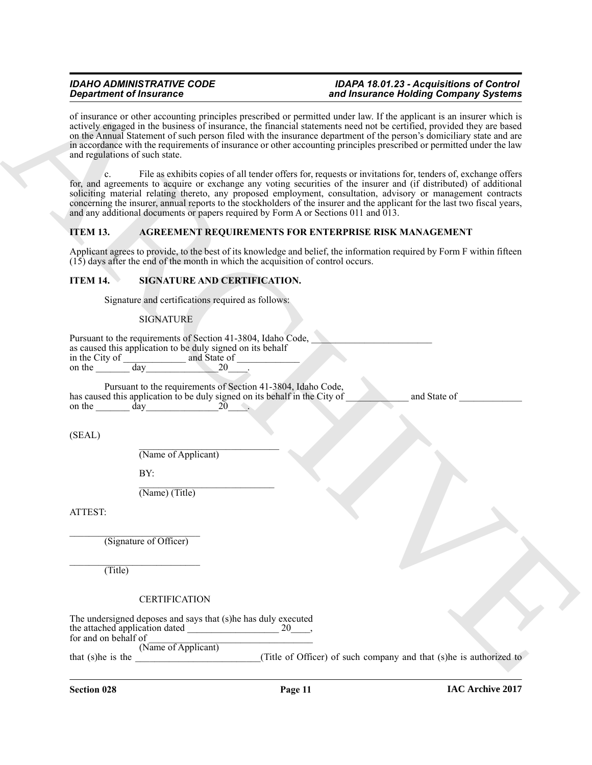of insurance or other accounting principles prescribed or permitted under law. If the applicant is an insurer which is actively engaged in the business of insurance, the financial statements need not be certified, provided they are based on the Annual Statement of such person filed with the insurance department of the person's domiciliary state and are in accordance with the requirements of insurance or other accounting principles prescribed or permitted under the law and regulations of such state.

c. File as exhibits copies of all tender offers for, requests or invitations for, tenders of, exchange offers for, and agreements to acquire or exchange any voting securities of the insurer and (if distributed) of additional soliciting material relating thereto, any proposed employment, consultation, advisory or management contracts concerning the insurer, annual reports to the stockholders of the insurer and the applicant for the last two fiscal years, and any additional documents or papers required by Form A or Sections 011 and 013.

## <span id="page-10-0"></span>**ITEM 13. AGREEMENT REQUIREMENTS FOR ENTERPRISE RISK MANAGEMENT**

Applicant agrees to provide, to the best of its knowledge and belief, the information required by Form F within fifteen (15) days after the end of the month in which the acquisition of control occurs.

## **ITEM 14. SIGNATURE AND CERTIFICATION.**

<span id="page-10-1"></span>Signature and certifications required as follows:

### **SIGNATURE**

|                                                            | Pursuant to the requirements of Section 41-3804, Idaho Code, |  |
|------------------------------------------------------------|--------------------------------------------------------------|--|
| as caused this application to be duly signed on its behalf |                                                              |  |
| in the City of                                             | and State of                                                 |  |
| on the<br>dav                                              |                                                              |  |
|                                                            |                                                              |  |

Pursuant to the requirements of Section 41-3804, Idaho Code, has caused this application to be duly signed on its behalf in the City of \_\_\_\_\_\_\_\_\_\_\_\_ and State of on the day and  $20$ 

(SEAL)

\_\_\_\_\_\_\_\_\_\_\_\_\_\_\_\_\_\_\_\_\_\_\_\_\_\_\_\_\_ (Name of Applicant)

BY:

\_\_\_\_\_\_\_\_\_\_\_\_\_\_\_\_\_\_\_\_\_\_\_\_\_\_\_\_ (Name) (Title)

ATTEST:

\_\_\_\_\_\_\_\_\_\_\_\_\_\_\_\_\_\_\_\_\_\_\_\_\_\_\_ (Signature of Officer)

\_\_\_\_\_\_\_\_\_\_\_\_\_\_\_\_\_\_\_\_\_\_\_\_\_\_\_ (Title)

**CERTIFICATION** 

**Signal from the financial control in the space of the space of the space of the space of the space of the space of the space of the space of the space of the space of the space of the space of the space of the space of t** The undersigned deposes and says that (s)he has duly executed the attached application dated \_\_\_\_\_\_\_\_\_\_\_\_\_\_\_\_\_\_\_ 20\_\_\_\_, for and on behalf of (Name of Applicant) that (s)he is the  $($ Title of Officer) of such company and that (s)he is authorized to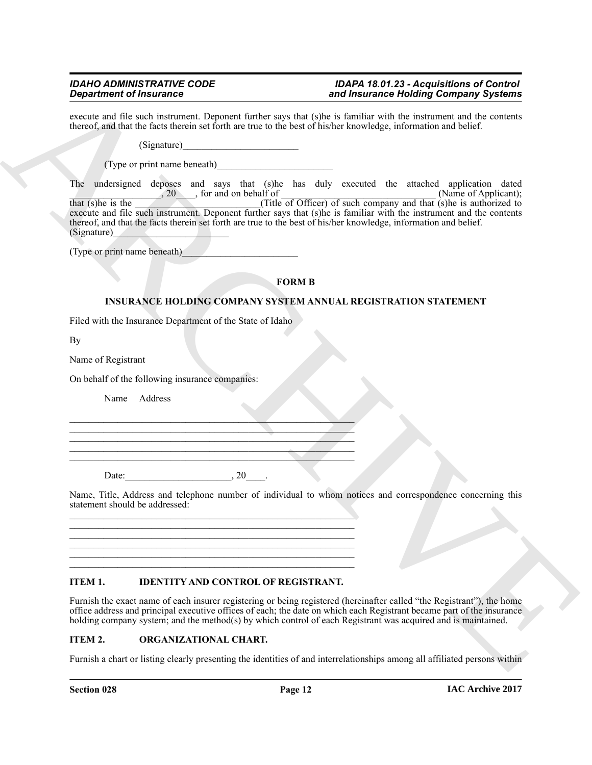execute and file such instrument. Deponent further says that (s)he is familiar with the instrument and the contents thereof, and that the facts therein set forth are true to the best of his/her knowledge, information and belief.

 $(Signature)$ 

(Type or print name beneath)\_\_\_\_\_\_\_\_\_\_\_\_\_\_\_\_\_\_\_\_\_\_\_\_

**Experiment of Francisco Control (1988)** and the second time is a second the state of the following Company Systems<br>
shown and the material state of the state of the state is the state in the state of the state of the sta The undersigned deposes and says that (s)he has duly executed the attached application dated  $\frac{1}{20}$ , 20  $\frac{1}{20}$ , for and on behalf of  $\frac{1}{20}$  (Name of Applicant); that (s)he is the \_\_\_\_\_\_\_\_\_\_\_\_\_\_\_\_\_\_\_\_(Title of Officer) of such company and that (s)he is authorized to execute and file such instrument. Deponent further says that (s)he is familiar with the instrument and the contents execute and file such instrument. Deponent further says that (s)he is familiar with the instrument and the thereof, and that the facts therein set forth are true to the best of his/her knowledge, information and belief. (Signature)\_\_\_\_\_\_\_\_\_\_\_\_\_\_\_\_\_\_\_\_\_\_\_\_

(Type or print name beneath)\_\_\_\_\_\_\_\_\_\_\_\_\_\_\_\_\_\_\_\_\_\_\_\_

## <span id="page-11-0"></span>**FORM B**

## **INSURANCE HOLDING COMPANY SYSTEM ANNUAL REGISTRATION STATEMENT**

Filed with the Insurance Department of the State of Idaho

By

Name of Registrant

On behalf of the following insurance companies:

Name Address

Date:  $20$ 

Name, Title, Address and telephone number of individual to whom notices and correspondence concerning this statement should be addressed:  $\_$  , and the set of the set of the set of the set of the set of the set of the set of the set of the set of the set of the set of the set of the set of the set of the set of the set of the set of the set of the set of th

## <span id="page-11-1"></span>**ITEM 1. IDENTITY AND CONTROL OF REGISTRANT.**

 $\_$  , and the set of the set of the set of the set of the set of the set of the set of the set of the set of the set of the set of the set of the set of the set of the set of the set of the set of the set of the set of th  $\_$  , and the set of the set of the set of the set of the set of the set of the set of the set of the set of the set of the set of the set of the set of the set of the set of the set of the set of the set of the set of th  $\_$  , and the set of the set of the set of the set of the set of the set of the set of the set of the set of the set of the set of the set of the set of the set of the set of the set of the set of the set of the set of th  $\_$  , and the set of the set of the set of the set of the set of the set of the set of the set of the set of the set of the set of the set of the set of the set of the set of the set of the set of the set of the set of th  $\_$  , and the set of the set of the set of the set of the set of the set of the set of the set of the set of the set of the set of the set of the set of the set of the set of the set of the set of the set of the set of th

\_\_\_\_\_\_\_\_\_\_\_\_\_\_\_\_\_\_\_\_\_\_\_\_\_\_\_\_\_\_\_\_\_\_\_\_\_\_\_\_\_\_\_\_\_\_\_\_\_\_\_\_\_\_\_\_\_\_\_ \_\_\_\_\_\_\_\_\_\_\_\_\_\_\_\_\_\_\_\_\_\_\_\_\_\_\_\_\_\_\_\_\_\_\_\_\_\_\_\_\_\_\_\_\_\_\_\_\_\_\_\_\_\_\_\_\_\_\_  $\mathcal{L}_\text{max}$  and  $\mathcal{L}_\text{max}$  and  $\mathcal{L}_\text{max}$  and  $\mathcal{L}_\text{max}$  and  $\mathcal{L}_\text{max}$ \_\_\_\_\_\_\_\_\_\_\_\_\_\_\_\_\_\_\_\_\_\_\_\_\_\_\_\_\_\_\_\_\_\_\_\_\_\_\_\_\_\_\_\_\_\_\_\_\_\_\_\_\_\_\_\_\_\_\_ \_\_\_\_\_\_\_\_\_\_\_\_\_\_\_\_\_\_\_\_\_\_\_\_\_\_\_\_\_\_\_\_\_\_\_\_\_\_\_\_\_\_\_\_\_\_\_\_\_\_\_\_\_\_\_\_\_\_\_

Furnish the exact name of each insurer registering or being registered (hereinafter called "the Registrant"), the home office address and principal executive offices of each; the date on which each Registrant became part of the insurance holding company system; and the method(s) by which control of each Registrant was acquired and is maintained.

## <span id="page-11-2"></span>**ITEM 2. ORGANIZATIONAL CHART.**

Furnish a chart or listing clearly presenting the identities of and interrelationships among all affiliated persons within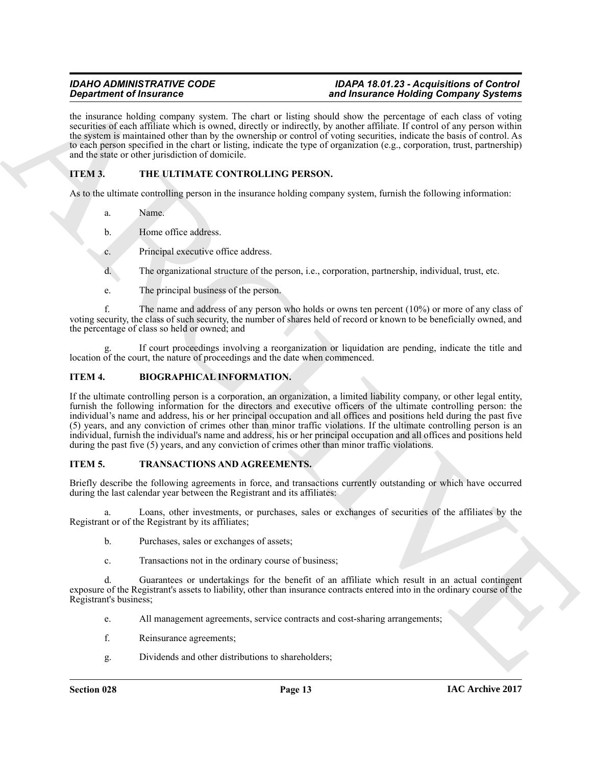the insurance holding company system. The chart or listing should show the percentage of each class of voting securities of each affiliate which is owned, directly or indirectly, by another affiliate. If control of any person within the system is maintained other than by the ownership or control of voting securities, indicate the basis of control. As to each person specified in the chart or listing, indicate the type of organization (e.g., corporation, trust, partnership) and the state or other jurisdiction of domicile.

## **ITEM 3. THE ULTIMATE CONTROLLING PERSON.**

As to the ultimate controlling person in the insurance holding company system, furnish the following information:

- <span id="page-12-1"></span>a. Name.
- b. Home office address.
- c. Principal executive office address.
- d. The organizational structure of the person, i.e., corporation, partnership, individual, trust, etc.
- e. The principal business of the person.

f. The name and address of any person who holds or owns ten percent (10%) or more of any class of voting security, the class of such security, the number of shares held of record or known to be beneficially owned, and the percentage of class so held or owned; and

If court proceedings involving a reorganization or liquidation are pending, indicate the title and location of the court, the nature of proceedings and the date when commenced.

## <span id="page-12-0"></span>**ITEM 4. BIOGRAPHICAL INFORMATION.**

**Experimental information**<br>
But the manner additional information and the interaction of the distribution of the manner of the company problem.<br>
Archives the company problem, the characteristic process in the company of t If the ultimate controlling person is a corporation, an organization, a limited liability company, or other legal entity, furnish the following information for the directors and executive officers of the ultimate controlling person: the individual's name and address, his or her principal occupation and all offices and positions held during the past five (5) years, and any conviction of crimes other than minor traffic violations. If the ultimate controlling person is an individual, furnish the individual's name and address, his or her principal occupation and all offices and positions held during the past five (5) years, and any conviction of crimes other than minor traffic violations.

## <span id="page-12-2"></span>**ITEM 5. TRANSACTIONS AND AGREEMENTS.**

Briefly describe the following agreements in force, and transactions currently outstanding or which have occurred during the last calendar year between the Registrant and its affiliates:

a. Loans, other investments, or purchases, sales or exchanges of securities of the affiliates by the Registrant or of the Registrant by its affiliates;

- b. Purchases, sales or exchanges of assets;
- c. Transactions not in the ordinary course of business;

d. Guarantees or undertakings for the benefit of an affiliate which result in an actual contingent exposure of the Registrant's assets to liability, other than insurance contracts entered into in the ordinary course of the Registrant's business;

- e. All management agreements, service contracts and cost-sharing arrangements;
- f. Reinsurance agreements;
- g. Dividends and other distributions to shareholders;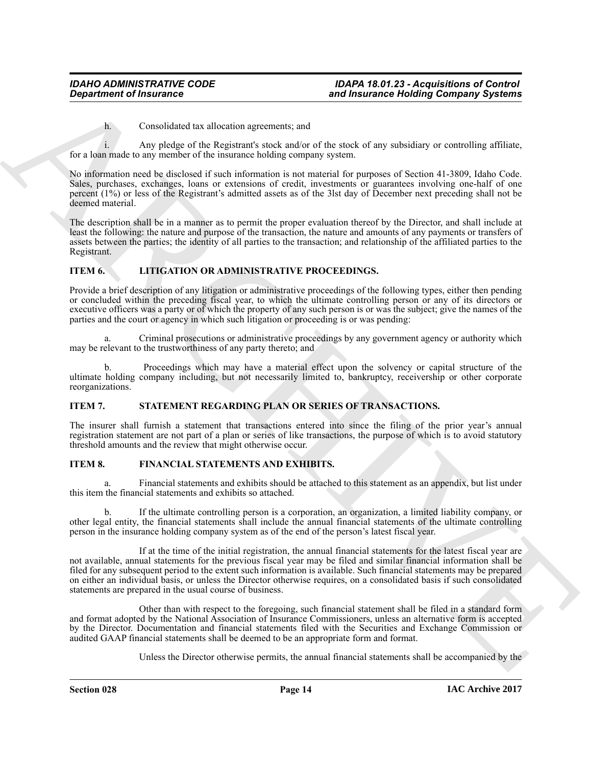h. Consolidated tax allocation agreements; and

i. Any pledge of the Registrant's stock and/or of the stock of any subsidiary or controlling affiliate, for a loan made to any member of the insurance holding company system.

No information need be disclosed if such information is not material for purposes of Section 41-3809, Idaho Code. Sales, purchases, exchanges, loans or extensions of credit, investments or guarantees involving one-half of one percent (1%) or less of the Registrant's admitted assets as of the 3lst day of December next preceding shall not be deemed material.

The description shall be in a manner as to permit the proper evaluation thereof by the Director, and shall include at least the following: the nature and purpose of the transaction, the nature and amounts of any payments or transfers of assets between the parties; the identity of all parties to the transaction; and relationship of the affiliated parties to the Registrant.

## <span id="page-13-1"></span>**ITEM 6. LITIGATION OR ADMINISTRATIVE PROCEEDINGS.**

Provide a brief description of any litigation or administrative proceedings of the following types, either then pending or concluded within the preceding fiscal year, to which the ultimate controlling person or any of its directors or executive officers was a party or of which the property of any such person is or was the subject; give the names of the parties and the court or agency in which such litigation or proceeding is or was pending:

a. Criminal prosecutions or administrative proceedings by any government agency or authority which may be relevant to the trustworthiness of any party thereto; and

b. Proceedings which may have a material effect upon the solvency or capital structure of the ultimate holding company including, but not necessarily limited to, bankruptcy, receivership or other corporate reorganizations.

## <span id="page-13-2"></span>**ITEM 7. STATEMENT REGARDING PLAN OR SERIES OF TRANSACTIONS.**

The insurer shall furnish a statement that transactions entered into since the filing of the prior year's annual registration statement are not part of a plan or series of like transactions, the purpose of which is to avoid statutory threshold amounts and the review that might otherwise occur.

## <span id="page-13-0"></span>**ITEM 8. FINANCIAL STATEMENTS AND EXHIBITS.**

a. Financial statements and exhibits should be attached to this statement as an appendix, but list under this item the financial statements and exhibits so attached.

b. If the ultimate controlling person is a corporation, an organization, a limited liability company, or other legal entity, the financial statements shall include the annual financial statements of the ultimate controlling person in the insurance holding company system as of the end of the person's latest fiscal year.

**Expansion of Insurance<br>
Sind Insurance Holding Company Systems<br>
Conscillate Lat. Constraints: such angles of the stock of the stock of the standard or outside<br>
For a something to stand the standard constraints: such angl** If at the time of the initial registration, the annual financial statements for the latest fiscal year are not available, annual statements for the previous fiscal year may be filed and similar financial information shall be filed for any subsequent period to the extent such information is available. Such financial statements may be prepared on either an individual basis, or unless the Director otherwise requires, on a consolidated basis if such consolidated statements are prepared in the usual course of business.

Other than with respect to the foregoing, such financial statement shall be filed in a standard form and format adopted by the National Association of Insurance Commissioners, unless an alternative form is accepted by the Director. Documentation and financial statements filed with the Securities and Exchange Commission or audited GAAP financial statements shall be deemed to be an appropriate form and format.

Unless the Director otherwise permits, the annual financial statements shall be accompanied by the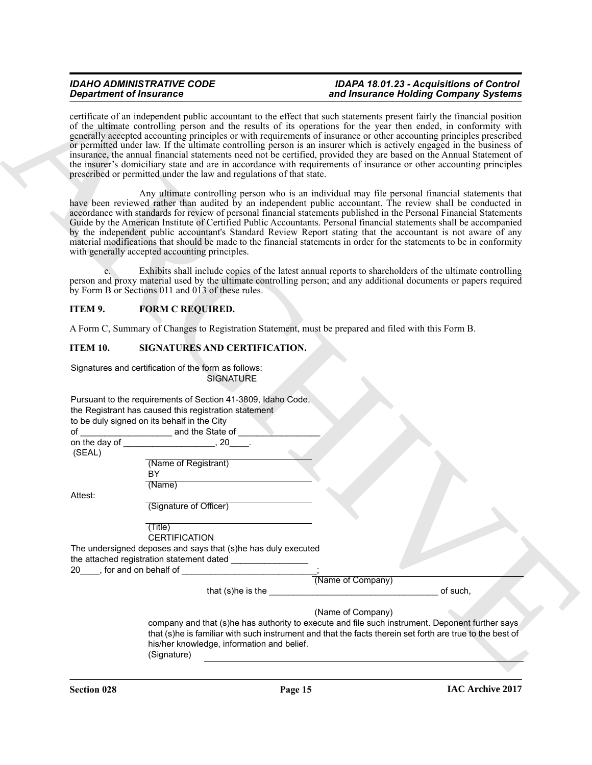## <span id="page-14-0"></span>**ITEM 9. FORM C REQUIRED.**

## <span id="page-14-1"></span>**ITEM 10. SIGNATURES AND CERTIFICATION.**

|                 | <b>Department of Insurance</b>                                                                                                                                       | and Insurance Holding Company Systems                                                                                                                                                                                                                                                                                                                                                                                                                                                                                                                                                                                                                                                                                                        |
|-----------------|----------------------------------------------------------------------------------------------------------------------------------------------------------------------|----------------------------------------------------------------------------------------------------------------------------------------------------------------------------------------------------------------------------------------------------------------------------------------------------------------------------------------------------------------------------------------------------------------------------------------------------------------------------------------------------------------------------------------------------------------------------------------------------------------------------------------------------------------------------------------------------------------------------------------------|
|                 | prescribed or permitted under the law and regulations of that state.                                                                                                 | certificate of an independent public accountant to the effect that such statements present fairly the financial position<br>of the ultimate controlling person and the results of its operations for the year then ended, in conformity with<br>generally accepted accounting principles or with requirements of insurance or other accounting principles prescribed<br>or permitted under law. If the ultimate controlling person is an insurer which is actively engaged in the business of<br>insurance, the annual financial statements need not be certified, provided they are based on the Annual Statement of<br>the insurer's domiciliary state and are in accordance with requirements of insurance or other accounting principles |
|                 | with generally accepted accounting principles.                                                                                                                       | Any ultimate controlling person who is an individual may file personal financial statements that<br>have been reviewed rather than audited by an independent public accountant. The review shall be conducted in<br>accordance with standards for review of personal financial statements published in the Personal Financial Statements<br>Guide by the American Institute of Certified Public Accountants. Personal financial statements shall be accompanied<br>by the independent public accountant's Standard Review Report stating that the accountant is not aware of any<br>material modifications that should be made to the financial statements in order for the statements to be in conformity                                   |
|                 | by Form B or Sections 011 and 013 of these rules.                                                                                                                    | Exhibits shall include copies of the latest annual reports to shareholders of the ultimate controlling<br>person and proxy material used by the ultimate controlling person; and any additional documents or papers required                                                                                                                                                                                                                                                                                                                                                                                                                                                                                                                 |
| ITEM 9.         | <b>FORM C REQUIRED.</b>                                                                                                                                              |                                                                                                                                                                                                                                                                                                                                                                                                                                                                                                                                                                                                                                                                                                                                              |
|                 |                                                                                                                                                                      | A Form C, Summary of Changes to Registration Statement, must be prepared and filed with this Form B.                                                                                                                                                                                                                                                                                                                                                                                                                                                                                                                                                                                                                                         |
| <b>ITEM 10.</b> | SIGNATURES AND CERTIFICATION.                                                                                                                                        |                                                                                                                                                                                                                                                                                                                                                                                                                                                                                                                                                                                                                                                                                                                                              |
|                 | Signatures and certification of the form as follows:<br><b>SIGNATURE</b>                                                                                             |                                                                                                                                                                                                                                                                                                                                                                                                                                                                                                                                                                                                                                                                                                                                              |
|                 | Pursuant to the requirements of Section 41-3809, Idaho Code,<br>the Registrant has caused this registration statement<br>to be duly signed on its behalf in the City |                                                                                                                                                                                                                                                                                                                                                                                                                                                                                                                                                                                                                                                                                                                                              |
| (SEAL)          |                                                                                                                                                                      |                                                                                                                                                                                                                                                                                                                                                                                                                                                                                                                                                                                                                                                                                                                                              |
|                 | (Name of Registrant)<br>BY                                                                                                                                           |                                                                                                                                                                                                                                                                                                                                                                                                                                                                                                                                                                                                                                                                                                                                              |
| Attest:         | (Name)                                                                                                                                                               |                                                                                                                                                                                                                                                                                                                                                                                                                                                                                                                                                                                                                                                                                                                                              |
|                 | (Signature of Officer)                                                                                                                                               |                                                                                                                                                                                                                                                                                                                                                                                                                                                                                                                                                                                                                                                                                                                                              |
|                 | (Title)<br><b>CERTIFICATION</b>                                                                                                                                      |                                                                                                                                                                                                                                                                                                                                                                                                                                                                                                                                                                                                                                                                                                                                              |
|                 | The undersigned deposes and says that (s)he has duly executed<br>the attached registration statement dated __________________<br>20___, for and on behalf of         |                                                                                                                                                                                                                                                                                                                                                                                                                                                                                                                                                                                                                                                                                                                                              |
|                 |                                                                                                                                                                      | (Name of Company)                                                                                                                                                                                                                                                                                                                                                                                                                                                                                                                                                                                                                                                                                                                            |
|                 | that $(s)$ he is the $\_\_$                                                                                                                                          | of such,                                                                                                                                                                                                                                                                                                                                                                                                                                                                                                                                                                                                                                                                                                                                     |
|                 |                                                                                                                                                                      |                                                                                                                                                                                                                                                                                                                                                                                                                                                                                                                                                                                                                                                                                                                                              |
|                 |                                                                                                                                                                      | (Name of Company)<br>company and that (s)he has authority to execute and file such instrument. Deponent further says                                                                                                                                                                                                                                                                                                                                                                                                                                                                                                                                                                                                                         |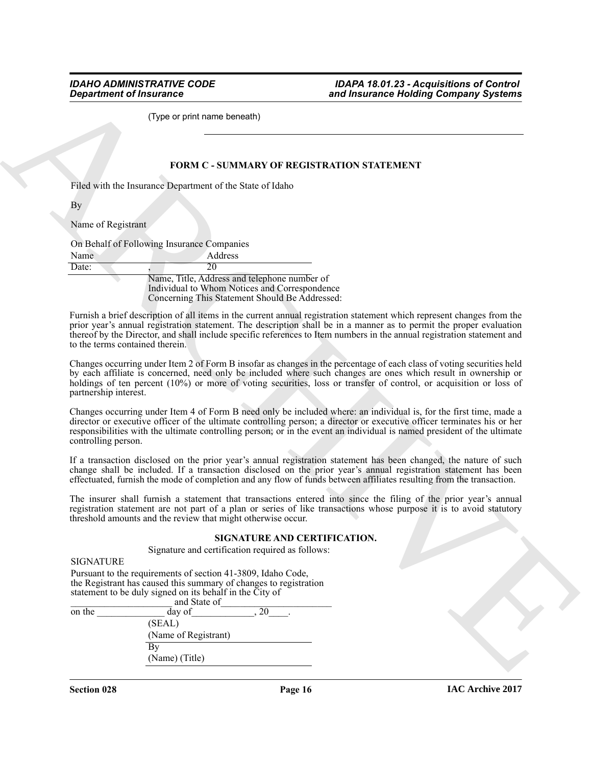#### <span id="page-15-0"></span>**FORM C - SUMMARY OF REGISTRATION STATEMENT**

|       | On Behalf of Following Insurance Companies                                                                                                      |
|-------|-------------------------------------------------------------------------------------------------------------------------------------------------|
| Name  | Address                                                                                                                                         |
| Date: | 20                                                                                                                                              |
|       | Name, Title, Address and telephone number of<br>Individual to Whom Notices and Correspondence<br>Concerning This Statement Should Be Addressed: |

### **SIGNATURE AND CERTIFICATION.**

|                                                                                                                                                                                                               | and Insurance Holding Company Systems                                                                                                                                                                                                                                                                                                                                    |
|---------------------------------------------------------------------------------------------------------------------------------------------------------------------------------------------------------------|--------------------------------------------------------------------------------------------------------------------------------------------------------------------------------------------------------------------------------------------------------------------------------------------------------------------------------------------------------------------------|
| (Type or print name beneath)                                                                                                                                                                                  |                                                                                                                                                                                                                                                                                                                                                                          |
|                                                                                                                                                                                                               | FORM C - SUMMARY OF REGISTRATION STATEMENT                                                                                                                                                                                                                                                                                                                               |
|                                                                                                                                                                                                               |                                                                                                                                                                                                                                                                                                                                                                          |
| Filed with the Insurance Department of the State of Idaho                                                                                                                                                     |                                                                                                                                                                                                                                                                                                                                                                          |
| Вy                                                                                                                                                                                                            |                                                                                                                                                                                                                                                                                                                                                                          |
| Name of Registrant                                                                                                                                                                                            |                                                                                                                                                                                                                                                                                                                                                                          |
|                                                                                                                                                                                                               |                                                                                                                                                                                                                                                                                                                                                                          |
| On Behalf of Following Insurance Companies                                                                                                                                                                    |                                                                                                                                                                                                                                                                                                                                                                          |
| Address<br>Name<br>$\overline{20}$<br>Date:                                                                                                                                                                   |                                                                                                                                                                                                                                                                                                                                                                          |
| Name, Title, Address and telephone number of                                                                                                                                                                  |                                                                                                                                                                                                                                                                                                                                                                          |
| Individual to Whom Notices and Correspondence                                                                                                                                                                 |                                                                                                                                                                                                                                                                                                                                                                          |
| Concerning This Statement Should Be Addressed:                                                                                                                                                                |                                                                                                                                                                                                                                                                                                                                                                          |
| to the terms contained therein.                                                                                                                                                                               | Furnish a brief description of all items in the current annual registration statement which represent changes from the<br>prior year's annual registration statement. The description shall be in a manner as to permit the proper evaluation<br>thereof by the Director, and shall include specific references to Item numbers in the annual registration statement and |
| partnership interest.                                                                                                                                                                                         | Changes occurring under Item 2 of Form B insofar as changes in the percentage of each class of voting securities held<br>by each affiliate is concerned, need only be included where such changes are ones which result in ownership or<br>holdings of ten percent (10%) or more of voting securities, loss or transfer of control, or acquisition or loss of            |
| controlling person.                                                                                                                                                                                           | Changes occurring under Item 4 of Form B need only be included where: an individual is, for the first time, made a<br>director or executive officer of the ultimate controlling person; a director or executive officer terminates his or her<br>responsibilities with the ultimate controlling person; or in the event an individual is named president of the ultimate |
|                                                                                                                                                                                                               | If a transaction disclosed on the prior year's annual registration statement has been changed, the nature of such<br>change shall be included. If a transaction disclosed on the prior year's annual registration statement has been<br>effectuated, furnish the mode of completion and any flow of funds between affiliates resulting from the transaction.             |
| threshold amounts and the review that might otherwise occur.                                                                                                                                                  | The insurer shall furnish a statement that transactions entered into since the filing of the prior year's annual<br>registration statement are not part of a plan or series of like transactions whose purpose it is to avoid statutory                                                                                                                                  |
|                                                                                                                                                                                                               | SIGNATURE AND CERTIFICATION.                                                                                                                                                                                                                                                                                                                                             |
| Signature and certification required as follows:                                                                                                                                                              |                                                                                                                                                                                                                                                                                                                                                                          |
| <b>SIGNATURE</b>                                                                                                                                                                                              |                                                                                                                                                                                                                                                                                                                                                                          |
| Pursuant to the requirements of section 41-3809, Idaho Code,<br>the Registrant has caused this summary of changes to registration<br>statement to be duly signed on its behalf in the City of<br>and State of |                                                                                                                                                                                                                                                                                                                                                                          |
| $\overline{20}$<br>on the<br>$\overline{day}$ of                                                                                                                                                              |                                                                                                                                                                                                                                                                                                                                                                          |
| (SEAL)<br>(Name of Registrant)                                                                                                                                                                                |                                                                                                                                                                                                                                                                                                                                                                          |
|                                                                                                                                                                                                               |                                                                                                                                                                                                                                                                                                                                                                          |
| $\overline{By}$                                                                                                                                                                                               |                                                                                                                                                                                                                                                                                                                                                                          |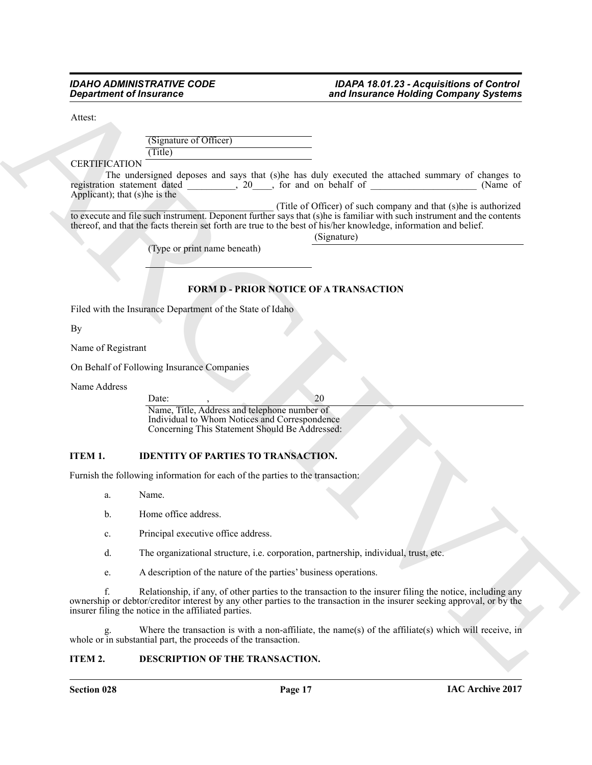Attest:

(Signature of Officer) (Title)

CERTIFICATION

The undersigned deposes and says that (s)he has duly executed the attached summary of changes to on statement dated  $\frac{20}{100}$ , for and on behalf of (Name of registration statement dated  $\frac{1}{\sqrt{1-\frac{1}{2}}}\left(20\right)$ , for and on behalf of Applicant); that (s)he is the

\_\_\_\_\_\_\_\_\_\_\_\_\_\_\_\_\_\_\_\_\_\_\_\_\_\_\_\_\_\_\_\_\_\_\_\_\_\_\_\_\_\_ (Title of Officer) of such company and that (s)he is authorized to execute and file such instrument. Deponent further says that (s)he is familiar with such instrument and the contents thereof, and that the facts therein set forth are true to the best of his/her knowledge, information and belief.

(Signature)

(Type or print name beneath)

## <span id="page-16-1"></span>**FORM D - PRIOR NOTICE OF A TRANSACTION**

Filed with the Insurance Department of the State of Idaho

By

Name of Registrant

On Behalf of Following Insurance Companies

Name Address

<span id="page-16-2"></span>Date:  $\qquad \qquad ,$  20 Name, Title, Address and telephone number of Individual to Whom Notices and Correspondence Concerning This Statement Should Be Addressed:

## **ITEM 1. IDENTITY OF PARTIES TO TRANSACTION.**

Furnish the following information for each of the parties to the transaction:

- a. Name.
- b. Home office address.
- c. Principal executive office address.
- d. The organizational structure, i.e. corporation, partnership, individual, trust, etc.
- e. A description of the nature of the parties' business operations.

**Experiment of Finducine Control of the Constraint Control of the Construction of the Construction of Construction Construction (Fig. 2)<br>
Construction (Fig. 2) (a) and the construction of the Construction of the Construct** f. Relationship, if any, of other parties to the transaction to the insurer filing the notice, including any ownership or debtor/creditor interest by any other parties to the transaction in the insurer seeking approval, or by the insurer filing the notice in the affiliated parties.

g. Where the transaction is with a non-affiliate, the name(s) of the affiliate(s) which will receive, in whole or in substantial part, the proceeds of the transaction.

## <span id="page-16-0"></span>**ITEM 2. DESCRIPTION OF THE TRANSACTION.**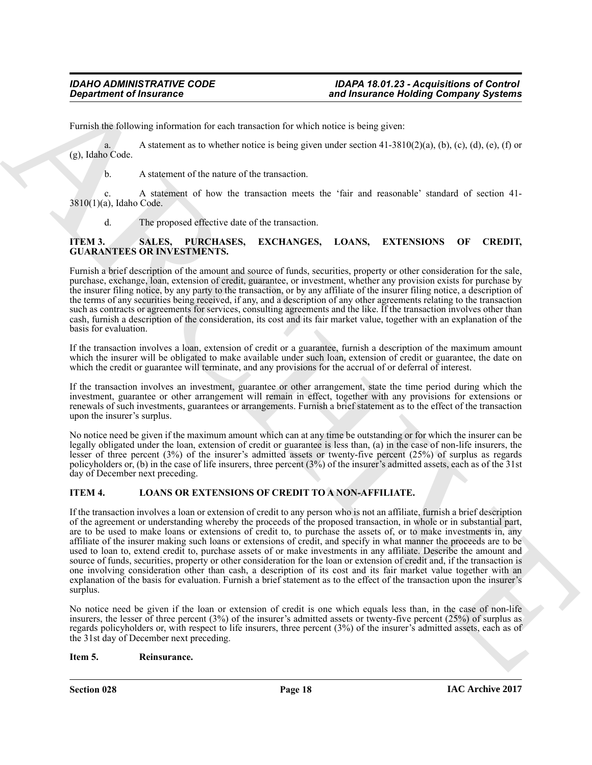Furnish the following information for each transaction for which notice is being given:

a. A statement as to whether notice is being given under section  $(41-3810(2)(a), (b), (c), (d), (e), (f)$  or (g), Idaho Code.

b. A statement of the nature of the transaction.

c. A statement of how the transaction meets the 'fair and reasonable' standard of section 41- 3810(1)(a), Idaho Code.

<span id="page-17-2"></span>d. The proposed effective date of the transaction.

## **ITEM 3. SALES, PURCHASES, EXCHANGES, LOANS, EXTENSIONS OF CREDIT, GUARANTEES OR INVESTMENTS.**

Furnish a brief description of the amount and source of funds, securities, property or other consideration for the sale, purchase, exchange, loan, extension of credit, guarantee, or investment, whether any provision exists for purchase by the insurer filing notice, by any party to the transaction, or by any affiliate of the insurer filing notice, a description of the terms of any securities being received, if any, and a description of any other agreements relating to the transaction such as contracts or agreements for services, consulting agreements and the like. If the transaction involves other than cash, furnish a description of the consideration, its cost and its fair market value, together with an explanation of the basis for evaluation.

If the transaction involves a loan, extension of credit or a guarantee, furnish a description of the maximum amount which the insurer will be obligated to make available under such loan, extension of credit or guarantee, the date on which the credit or guarantee will terminate, and any provisions for the accrual of or deferral of interest.

If the transaction involves an investment, guarantee or other arrangement, state the time period during which the investment, guarantee or other arrangement will remain in effect, together with any provisions for extensions or renewals of such investments, guarantees or arrangements. Furnish a brief statement as to the effect of the transaction upon the insurer's surplus.

No notice need be given if the maximum amount which can at any time be outstanding or for which the insurer can be legally obligated under the loan, extension of credit or guarantee is less than, (a) in the case of non-life insurers, the lesser of three percent (3%) of the insurer's admitted assets or twenty-five percent (25%) of surplus as regards policyholders or, (b) in the case of life insurers, three percent (3%) of the insurer's admitted assets, each as of the 31st day of December next preceding.

## <span id="page-17-0"></span>**ITEM 4. LOANS OR EXTENSIONS OF CREDIT TO A NON-AFFILIATE.**

**Example of Francesco Comparison Comparison** and the same of the same of the same of the same of the same of the same of the same of the same of the same of the same of the same of the same of the same of the same of the If the transaction involves a loan or extension of credit to any person who is not an affiliate, furnish a brief description of the agreement or understanding whereby the proceeds of the proposed transaction, in whole or in substantial part, are to be used to make loans or extensions of credit to, to purchase the assets of, or to make investments in, any affiliate of the insurer making such loans or extensions of credit, and specify in what manner the proceeds are to be used to loan to, extend credit to, purchase assets of or make investments in any affiliate. Describe the amount and source of funds, securities, property or other consideration for the loan or extension of credit and, if the transaction is one involving consideration other than cash, a description of its cost and its fair market value together with an explanation of the basis for evaluation. Furnish a brief statement as to the effect of the transaction upon the insurer's surplus.

No notice need be given if the loan or extension of credit is one which equals less than, in the case of non-life insurers, the lesser of three percent (3%) of the insurer's admitted assets or twenty-five percent (25%) of surplus as regards policyholders or, with respect to life insurers, three percent (3%) of the insurer's admitted assets, each as of the 31st day of December next preceding.

## <span id="page-17-1"></span>**Item 5. Reinsurance.**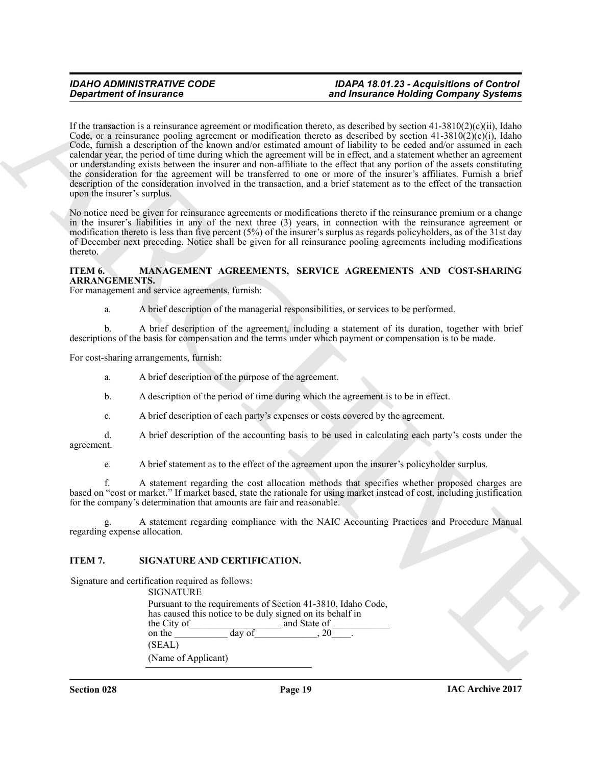**Expansion of Francesco Constraints and Expansion Constraints the constraint of Francesco Constraints and the Constraints and the Constraint of Constraints and Constraints and Constraints are the Constraints and Constrain** If the transaction is a reinsurance agreement or modification thereto, as described by section  $41-3810(2)(c)(ii)$ , Idaho Code, or a reinsurance pooling agreement or modification thereto as described by section  $41-3810(2)(c)(i)$ , Idaho Code, furnish a description of the known and/or estimated amount of liability to be ceded and/or assumed in each calendar year, the period of time during which the agreement will be in effect, and a statement whether an agreement or understanding exists between the insurer and non-affiliate to the effect that any portion of the assets constituting the consideration for the agreement will be transferred to one or more of the insurer's affiliates. Furnish a brief description of the consideration involved in the transaction, and a brief statement as to the effect of the transaction upon the insurer's surplus.

No notice need be given for reinsurance agreements or modifications thereto if the reinsurance premium or a change in the insurer's liabilities in any of the next three (3) years, in connection with the reinsurance agreement or modification thereto is less than five percent (5%) of the insurer's surplus as regards policyholders, as of the 31st day of December next preceding. Notice shall be given for all reinsurance pooling agreements including modifications thereto.

## **ITEM 6. MANAGEMENT AGREEMENTS, SERVICE AGREEMENTS AND COST-SHARING ARRANGEMENTS.**

For management and service agreements, furnish:

<span id="page-18-0"></span>a. A brief description of the managerial responsibilities, or services to be performed.

b. A brief description of the agreement, including a statement of its duration, together with brief descriptions of the basis for compensation and the terms under which payment or compensation is to be made.

For cost-sharing arrangements, furnish:

a. A brief description of the purpose of the agreement.

- b. A description of the period of time during which the agreement is to be in effect.
- c. A brief description of each party's expenses or costs covered by the agreement.

d. A brief description of the accounting basis to be used in calculating each party's costs under the agreement.

e. A brief statement as to the effect of the agreement upon the insurer's policyholder surplus.

f. A statement regarding the cost allocation methods that specifies whether proposed charges are based on "cost or market." If market based, state the rationale for using market instead of cost, including justification for the company's determination that amounts are fair and reasonable.

g. A statement regarding compliance with the NAIC Accounting Practices and Procedure Manual regarding expense allocation.

### **ITEM 7. SIGNATURE AND CERTIFICATION.**

Signature and certification required as follows:

<span id="page-18-1"></span>**SIGNATURE** Pursuant to the requirements of Section 41-3810, Idaho Code, has caused this notice to be duly signed on its behalf in the City of and State of  $\frac{1}{\text{day of}}$  and State of  $\frac{1}{20}$ on the (SEAL) (Name of Applicant)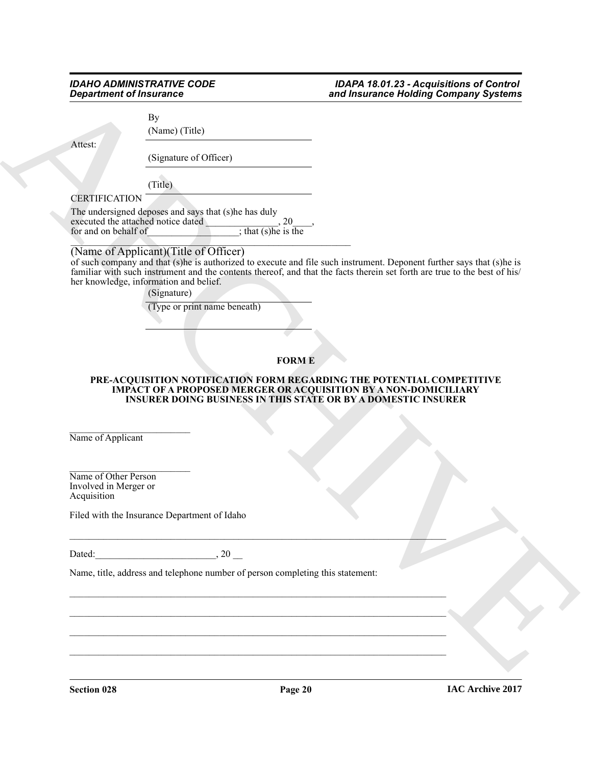By

(Name) (Title)

Attest:

(Signature of Officer)

(Title)

## **CERTIFICATION**

The undersigned deposes and says that (s)he has duly executed the attached notice dated \_\_\_\_\_\_\_\_\_\_\_\_\_\_, 20\_\_\_\_, executed the attached notice dated<br>for and on behalf of  $\frac{1}{\sinh(x)}$ , that (s)he is the

## $\Box$ (Name of Applicant)(Title of Officer)

**Sing trining of Francesco Control Control Control Control Control Control Control Control Control Control Control Control Control Control Control Control Control Control Control Control Control Control Control Control Co** of such company and that (s)he is authorized to execute and file such instrument. Deponent further says that (s)he is familiar with such instrument and the contents thereof, and that the facts therein set forth are true to the best of his/ her knowledge, information and belief.

(Signature)

(Type or print name beneath)

## <span id="page-19-0"></span>**FORM E**

#### **PRE-ACQUISITION NOTIFICATION FORM REGARDING THE POTENTIAL COMPETITIVE IMPACT OF A PROPOSED MERGER OR ACQUISITION BY A NON-DOMICILIARY INSURER DOING BUSINESS IN THIS STATE OR BY A DOMESTIC INSURER**

\_\_\_\_\_\_\_\_\_\_\_\_\_\_\_\_\_\_\_\_\_\_\_\_\_ Name of Applicant

\_\_\_\_\_\_\_\_\_\_\_\_\_\_\_\_\_\_\_\_\_\_\_\_\_ Name of Other Person Involved in Merger or Acquisition

Filed with the Insurance Department of Idaho

Dated:  $20$ 

 $\_$  , and the set of the set of the set of the set of the set of the set of the set of the set of the set of the set of the set of the set of the set of the set of the set of the set of the set of the set of the set of th

\_\_\_\_\_\_\_\_\_\_\_\_\_\_\_\_\_\_\_\_\_\_\_\_\_\_\_\_\_\_\_\_\_\_\_\_\_\_\_\_\_\_\_\_\_\_\_\_\_\_\_\_\_\_\_\_\_\_\_\_\_\_\_\_\_\_\_\_\_\_\_\_\_\_\_\_\_\_

 $\_$  , and the set of the set of the set of the set of the set of the set of the set of the set of the set of the set of the set of the set of the set of the set of the set of the set of the set of the set of the set of th \_\_\_\_\_\_\_\_\_\_\_\_\_\_\_\_\_\_\_\_\_\_\_\_\_\_\_\_\_\_\_\_\_\_\_\_\_\_\_\_\_\_\_\_\_\_\_\_\_\_\_\_\_\_\_\_\_\_\_\_\_\_\_\_\_\_\_\_\_\_\_\_\_\_\_\_\_\_

\_\_\_\_\_\_\_\_\_\_\_\_\_\_\_\_\_\_\_\_\_\_\_\_\_\_\_\_\_\_\_\_\_\_\_\_\_\_\_\_\_\_\_\_\_\_\_\_\_\_\_\_\_\_\_\_\_\_\_\_\_\_\_\_\_\_\_\_\_\_\_\_\_\_\_\_\_\_

Name, title, address and telephone number of person completing this statement:

**Section 028 Page 20**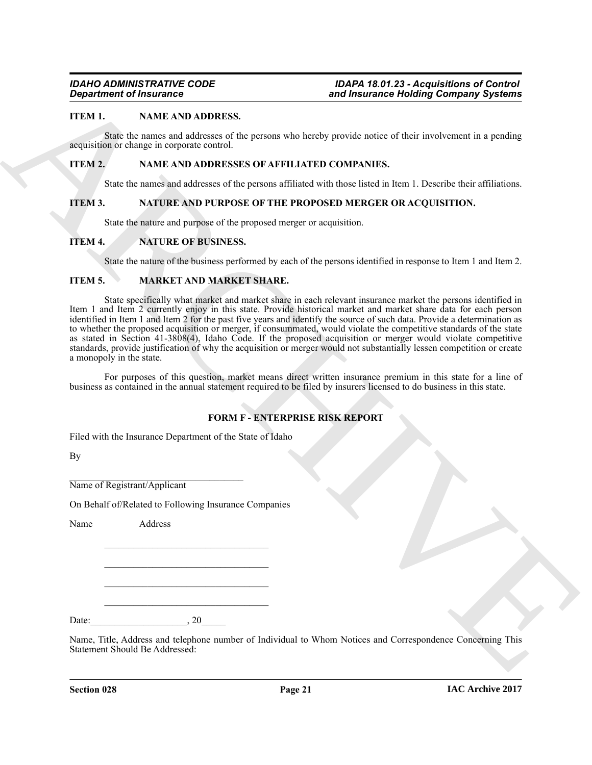## **ITEM 1. NAME AND ADDRESS.**

State the names and addresses of the persons who hereby provide notice of their involvement in a pending acquisition or change in corporate control.

## **ITEM 2. NAME AND ADDRESSES OF AFFILIATED COMPANIES.**

<span id="page-20-2"></span><span id="page-20-1"></span>State the names and addresses of the persons affiliated with those listed in Item 1. Describe their affiliations.

## **ITEM 3. NATURE AND PURPOSE OF THE PROPOSED MERGER OR ACQUISITION.**

<span id="page-20-3"></span>State the nature and purpose of the proposed merger or acquisition.

## **ITEM 4. NATURE OF BUSINESS.**

<span id="page-20-0"></span>State the nature of the business performed by each of the persons identified in response to Item 1 and Item 2.

## **ITEM 5. MARKET AND MARKET SHARE.**

**Expansion of Insurance Control is and Insurance Control in the Control of Control in the Control of Control insurance Control in the Control of Control insurance Control in the Control of Control insurance Control insura** State specifically what market and market share in each relevant insurance market the persons identified in Item 1 and Item 2 currently enjoy in this state. Provide historical market and market share data for each person identified in Item 1 and Item 2 for the past five years and identify the source of such data. Provide a determination as to whether the proposed acquisition or merger, if consummated, would violate the competitive standards of the state as stated in Section 41-3808(4), Idaho Code. If the proposed acquisition or merger would violate competitive standards, provide justification of why the acquisition or merger would not substantially lessen competition or create a monopoly in the state.

For purposes of this question, market means direct written insurance premium in this state for a line of business as contained in the annual statement required to be filed by insurers licensed to do business in this state.

## **FORM F - ENTERPRISE RISK REPORT**

Filed with the Insurance Department of the State of Idaho

By

\_\_\_\_\_\_\_\_\_\_\_\_\_\_\_\_\_\_\_\_\_\_\_\_\_\_\_\_\_\_\_\_\_\_\_\_ Name of Registrant/Applicant

On Behalf of/Related to Following Insurance Companies

\_\_\_\_\_\_\_\_\_\_\_\_\_\_\_\_\_\_\_\_\_\_\_\_\_\_\_\_\_\_\_\_\_\_

\_\_\_\_\_\_\_\_\_\_\_\_\_\_\_\_\_\_\_\_\_\_\_\_\_\_\_\_\_\_\_\_\_\_ \_\_\_\_\_\_\_\_\_\_\_\_\_\_\_\_\_\_\_\_\_\_\_\_\_\_\_\_\_\_\_\_\_\_

\_\_\_\_\_\_\_\_\_\_\_\_\_\_\_\_\_\_\_\_\_\_\_\_\_\_\_\_\_\_\_\_\_\_

Name Address

Date:\_\_\_\_\_\_\_\_\_\_\_\_\_\_\_\_\_\_\_\_, 20\_\_\_\_\_

Name, Title, Address and telephone number of Individual to Whom Notices and Correspondence Concerning This Statement Should Be Addressed: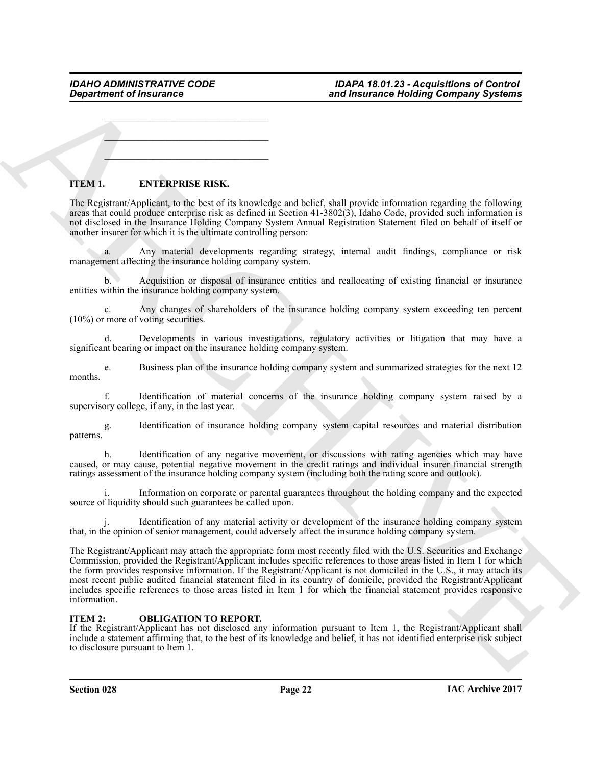\_\_\_\_\_\_\_\_\_\_\_\_\_\_\_\_\_\_\_\_\_\_\_\_\_\_\_\_\_\_\_\_\_\_

 $\mathcal{L}=\mathcal{L}$  , where  $\mathcal{L}=\mathcal{L}$  , we have the set of the set of the set of the set of the set of the set of the set of the set of the set of the set of the set of the set of the set of the set of the set of the set

 $\mathcal{L}$  , and the set of the set of the set of the set of the set of the set of the set of the set of the set of the set of the set of the set of the set of the set of the set of the set of the set of the set of the set

## **ITEM 1. ENTERPRISE RISK.**

The Registrant/Applicant, to the best of its knowledge and belief, shall provide information regarding the following areas that could produce enterprise risk as defined in Section 41-3802(3), Idaho Code, provided such information is not disclosed in the Insurance Holding Company System Annual Registration Statement filed on behalf of itself or another insurer for which it is the ultimate controlling person:

a. Any material developments regarding strategy, internal audit findings, compliance or risk management affecting the insurance holding company system.

b. Acquisition or disposal of insurance entities and reallocating of existing financial or insurance entities within the insurance holding company system.

c. Any changes of shareholders of the insurance holding company system exceeding ten percent (10%) or more of voting securities.

Developments in various investigations, regulatory activities or litigation that may have a significant bearing or impact on the insurance holding company system.

e. Business plan of the insurance holding company system and summarized strategies for the next 12 months.

f. Identification of material concerns of the insurance holding company system raised by a supervisory college, if any, in the last year.

g. Identification of insurance holding company system capital resources and material distribution patterns.

h. Identification of any negative movement, or discussions with rating agencies which may have caused, or may cause, potential negative movement in the credit ratings and individual insurer financial strength ratings assessment of the insurance holding company system (including both the rating score and outlook).

Information on corporate or parental guarantees throughout the holding company and the expected source of liquidity should such guarantees be called upon.

Identification of any material activity or development of the insurance holding company system that, in the opinion of senior management, could adversely affect the insurance holding company system.

**Exparament of Insurance \*\*\*\***<br> **Sind Insurance the bind insurance the bind of Company Systems**<br>
TITM 1. **ENTRAPERSE RISK.**<br>
TITM 1. **ENTRAPERSE RISK.**<br>
TIEM 1. **ENTRAPERSE RISK.**<br>
TIEM 1. **ENTRAPERSE RISK.**<br>
TIEM 1. **ENT** The Registrant/Applicant may attach the appropriate form most recently filed with the U.S. Securities and Exchange Commission, provided the Registrant/Applicant includes specific references to those areas listed in Item 1 for which the form provides responsive information. If the Registrant/Applicant is not domiciled in the U.S., it may attach its most recent public audited financial statement filed in its country of domicile, provided the Registrant/Applicant includes specific references to those areas listed in Item 1 for which the financial statement provides responsive information.

## **ITEM 2: OBLIGATION TO REPORT.**

If the Registrant/Applicant has not disclosed any information pursuant to Item 1, the Registrant/Applicant shall include a statement affirming that, to the best of its knowledge and belief, it has not identified enterprise risk subject to disclosure pursuant to Item 1.